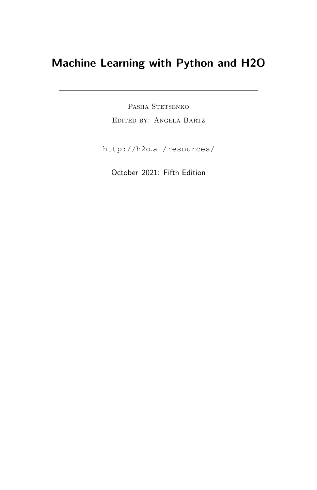### Machine Learning with Python and H2O

PASHA STETSENKO Edited by: Angela Bartz

http://h2o.[ai/resources/](http://h2o.ai/resources/)

October 2021: Fifth Edition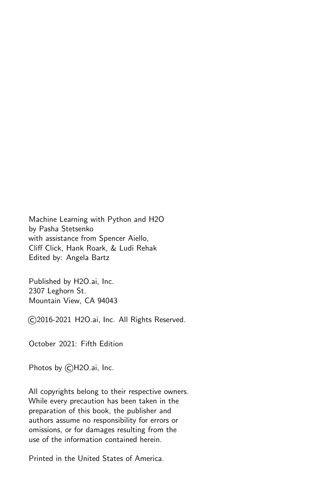Machine Learning with Python and H2O by Pasha Stetsenko with assistance from Spencer Aiello, Cliff Click, Hank Roark, & Ludi Rehak Edited by: Angela Bartz

Published by H2O.ai, Inc. 2307 Leghorn St. Mountain View, CA 94043

©2016-2021 H2O.ai, Inc. All Rights Reserved.

October 2021: Fifth Edition

Photos by ©H2O.ai, Inc.

All copyrights belong to their respective owners. While every precaution has been taken in the preparation of this book, the publisher and authors assume no responsibility for errors or omissions, or for damages resulting from the use of the information contained herein.

Printed in the United States of America.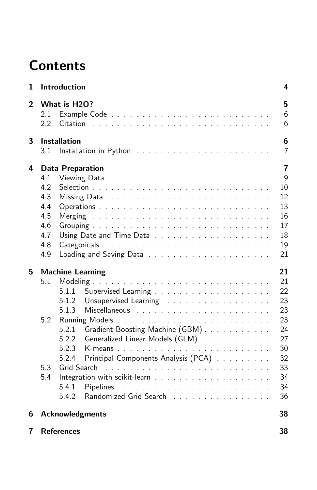# **Contents**

| 1              | Introduction                                                                                                                                                                                                                                                                                         | 4                                                                                |
|----------------|------------------------------------------------------------------------------------------------------------------------------------------------------------------------------------------------------------------------------------------------------------------------------------------------------|----------------------------------------------------------------------------------|
| $\overline{2}$ | What is H2O?<br>2.1<br>2.2<br>Citation                                                                                                                                                                                                                                                               | 5<br>6<br>6                                                                      |
| 3              | <b>Installation</b><br>3.1                                                                                                                                                                                                                                                                           | 6<br>$\overline{7}$                                                              |
| 4              | <b>Data Preparation</b><br>4.1<br>4.2<br>4.3<br>4.4<br>4.5<br>4.6<br>4.7<br>4.8<br>4.9                                                                                                                                                                                                               | $\overline{7}$<br>$\mathsf{Q}$<br>10<br>12<br>13<br>16<br>17<br>18<br>19<br>21   |
| 5              | <b>Machine Learning</b><br>5.1<br>5.1.1<br>5.1.2<br>Unsupervised Learning<br>5.1.3<br>5.2<br>Gradient Boosting Machine (GBM)<br>5.2.1<br>Generalized Linear Models (GLM)<br>5.2.2<br>5.2.3<br>Principal Components Analysis (PCA)<br>5.2.4<br>5.3<br>5.4<br>5.4.1<br>Randomized Grid Search<br>5.4.2 | 21<br>21<br>22<br>23<br>23<br>23<br>24<br>27<br>30<br>32<br>33<br>34<br>34<br>36 |
| 6              | <b>Acknowledgments</b>                                                                                                                                                                                                                                                                               | 38                                                                               |
| 7              | <b>References</b>                                                                                                                                                                                                                                                                                    | 38                                                                               |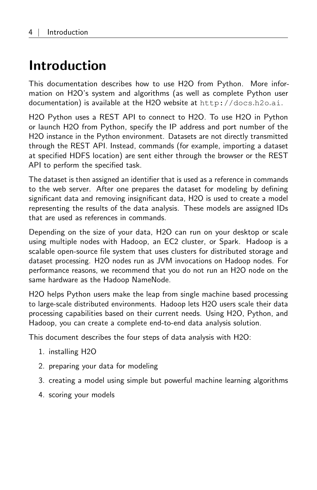## <span id="page-3-0"></span>Introduction

This documentation describes how to use H2O from Python. More information on H2O's system and algorithms (as well as complete Python user documentation) is available at the H2O website at [http://docs](http://docs.h2o.ai).h2o.ai.

H2O Python uses a REST API to connect to H2O. To use H2O in Python or launch H2O from Python, specify the IP address and port number of the H2O instance in the Python environment. Datasets are not directly transmitted through the REST API. Instead, commands (for example, importing a dataset at specified HDFS location) are sent either through the browser or the REST API to perform the specified task.

The dataset is then assigned an identifier that is used as a reference in commands to the web server. After one prepares the dataset for modeling by defining significant data and removing insignificant data, H2O is used to create a model representing the results of the data analysis. These models are assigned IDs that are used as references in commands.

Depending on the size of your data, H2O can run on your desktop or scale using multiple nodes with Hadoop, an EC2 cluster, or Spark. Hadoop is a scalable open-source file system that uses clusters for distributed storage and dataset processing. H2O nodes run as JVM invocations on Hadoop nodes. For performance reasons, we recommend that you do not run an H2O node on the same hardware as the Hadoop NameNode.

H2O helps Python users make the leap from single machine based processing to large-scale distributed environments. Hadoop lets H2O users scale their data processing capabilities based on their current needs. Using H2O, Python, and Hadoop, you can create a complete end-to-end data analysis solution.

This document describes the four steps of data analysis with H2O:

- 1. installing H2O
- 2. preparing your data for modeling
- 3. creating a model using simple but powerful machine learning algorithms
- 4. scoring your models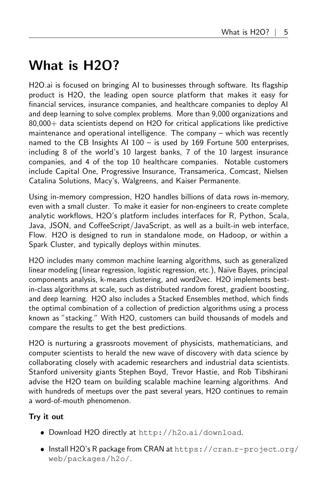# <span id="page-4-0"></span>What is H2O?

H2O.ai is focused on bringing AI to businesses through software. Its flagship product is H2O, the leading open source platform that makes it easy for financial services, insurance companies, and healthcare companies to deploy AI and deep learning to solve complex problems. More than 9,000 organizations and 80,000+ data scientists depend on H2O for critical applications like predictive maintenance and operational intelligence. The company – which was recently named to the CB Insights AI 100 – is used by 169 Fortune 500 enterprises, including 8 of the world's 10 largest banks, 7 of the 10 largest insurance companies, and 4 of the top 10 healthcare companies. Notable customers include Capital One, Progressive Insurance, Transamerica, Comcast, Nielsen Catalina Solutions, Macy's, Walgreens, and Kaiser Permanente.

Using in-memory compression, H2O handles billions of data rows in-memory, even with a small cluster. To make it easier for non-engineers to create complete analytic workflows, H2O's platform includes interfaces for R, Python, Scala, Java, JSON, and CoffeeScript/JavaScript, as well as a built-in web interface, Flow. H2O is designed to run in standalone mode, on Hadoop, or within a Spark Cluster, and typically deploys within minutes.

H2O includes many common machine learning algorithms, such as generalized linear modeling (linear regression, logistic regression, etc.), Na¨ıve Bayes, principal components analysis, k-means clustering, and word2vec. H2O implements bestin-class algorithms at scale, such as distributed random forest, gradient boosting, and deep learning. H2O also includes a Stacked Ensembles method, which finds the optimal combination of a collection of prediction algorithms using a process known as "stacking." With H2O, customers can build thousands of models and compare the results to get the best predictions.

H2O is nurturing a grassroots movement of physicists, mathematicians, and computer scientists to herald the new wave of discovery with data science by collaborating closely with academic researchers and industrial data scientists. Stanford university giants Stephen Boyd, Trevor Hastie, and Rob Tibshirani advise the H2O team on building scalable machine learning algorithms. And with hundreds of meetups over the past several years, H2O continues to remain a word-of-mouth phenomenon.

#### Try it out

- Download H2O directly at http://h2o.[ai/download](http://h2o.ai/download).
- Install H2O's R package from CRAN at [https://cran](https://cran.r-project.org/web/packages/h2o/).r-project.org/ [web/packages/h2o/](https://cran.r-project.org/web/packages/h2o/).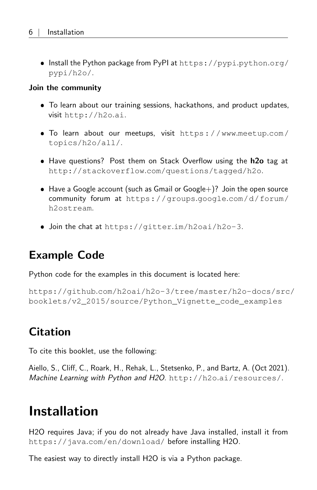• Install the Python package from PyPI at [https://pypi](https://pypi.python.org/pypi/h2o/).python.org/ [pypi/h2o/](https://pypi.python.org/pypi/h2o/).

#### Join the community

- To learn about our training sessions, hackathons, and product updates, visit [http://h2o](http://h2o.ai).ai.
- To learn about our meetups, visit [https://www](https://www.meetup.com/topics/h2o/all/).meetup.com/ [topics/h2o/all/](https://www.meetup.com/topics/h2o/all/).
- Have questions? Post them on Stack Overflow using the h2o tag at http://stackoverflow.[com/questions/tagged/h2o](http://stackoverflow.com/questions/tagged/h2o).
- $\bullet$  Have a Google account (such as Gmail or Google+)? Join the open source community forum at [https://groups](https://groups.google.com/d/forum/h2ostream).google.com/d/forum/ [h2ostream](https://groups.google.com/d/forum/h2ostream).
- <span id="page-5-0"></span>Join the chat at https://gitter.[im/h2oai/h2o-3](https://gitter.im/h2oai/h2o-3).

### Example Code

Python code for the examples in this document is located here:

<span id="page-5-1"></span>https://github.[com/h2oai/h2o-3/tree/master/h2o-docs/src](https://github.com/h2oai/h2o-3/tree/master/h2o-docs/src/booklets/v2_2015/source/Python_Vignette_code_examples)/ [booklets/v2\\_2015/source/Python\\_Vignette\\_code\\_examples](https://github.com/h2oai/h2o-3/tree/master/h2o-docs/src/booklets/v2_2015/source/Python_Vignette_code_examples)

### **Citation**

To cite this booklet, use the following:

<span id="page-5-2"></span>Aiello, S., Cliff, C., Roark, H., Rehak, L., Stetsenko, P., and Bartz, A. (Oct 2021). Machine Learning with Python and H2O. http://h2o.[ai/resources/](http://h2o.ai/resources/).

## Installation

H2O requires Java; if you do not already have Java installed, install it from https://java.[com/en/download/](https://java.com/en/download/) before installing H2O.

<span id="page-5-3"></span>The easiest way to directly install H2O is via a Python package.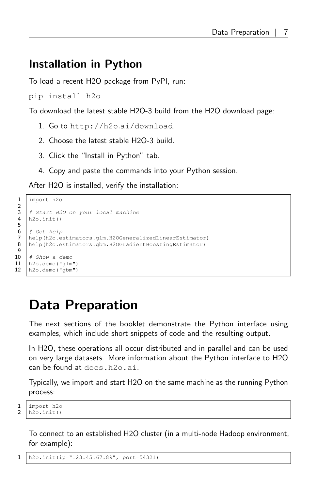### Installation in Python

To load a recent H2O package from PyPI, run:

pip install h2o

To download the latest stable H2O-3 build from the H2O download page:

- 1. Go to http://h2o.[ai/download](http://h2o.ai/download).
- 2. Choose the latest stable H2O-3 build.
- 3. Click the "Install in Python" tab.
- 4. Copy and paste the commands into your Python session.

After H2O is installed, verify the installation:

```
1 import h<sub>20</sub>
    # Start H2O on your local machine
 4 \ln 20. init()
 6 # Get help
7 help(h2o.estimators.glm.H2OGeneralizedLinearEstimator)
8 help(h2o.estimators.gbm.H2OGradientBoostingEstimator)
10 # Show a demo
11 h2o.demo("glm")
12 h2o.demo("gbm")
```
## <span id="page-6-0"></span>Data Preparation

The next sections of the booklet demonstrate the Python interface using examples, which include short snippets of code and the resulting output.

In H2O, these operations all occur distributed and in parallel and can be used on very large datasets. More information about the Python interface to H2O can be found at docs.h2o.ai.

Typically, we import and start H2O on the same machine as the running Python process:

```
\frac{1}{2} | import h2o<br>2 | h2o.init()
       h2o.init()
```
To connect to an established H2O cluster (in a multi-node Hadoop environment, for example):

1 h2o.init(ip="123.45.67.89", port=54321)

```
\frac{2}{3}5
9
```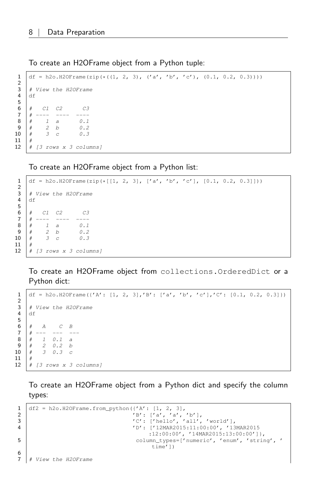To create an H2OFrame object from a Python tuple:

```
1 df = h2o.H2OFrame(zip(*((1, 2, 3), ('a', 'b', 'c'), (0.1, 0.2, 0.3))))
 \frac{2}{3}# View the H2OFrame
 4 df
 5
      6 # C1 C2 C3
 \begin{array}{c|cccc}\n7 & # &--- &--- &--- \\
8 & # & 1 & a\n\end{array}\begin{array}{c|ccccc}\n8 & # & 1 & a & 0.1 \\
9 & # & 2 & b & 0.2\n\end{array}\begin{array}{c|cc} 9 & # & 2 & b \\ 10 & # & 3 & c \end{array}# 3 c 0.311 #
12 \mid # \text{ [3 rows x 3 columns]}
```
To create an H2OFrame object from a Python list:

```
1 \left[ df = h2o.H20Frame(zip(\star[[1, 2, 3], ['a', 'b', 'c'], [0.1, 0.2, 0.3]])))\frac{2}{3}\begin{array}{c|c} 3 & \# \text{ View the H20} \end{array} Here \begin{array}{c} 3 & \text{if } 4 \end{array}4 df
 5
 6 \mid # \quad C1 \quad C2 \quad C37 \mid # \ \--- \ \8 \# 1 a 0.19 \mid \# 2 b 0.2
10 \# 3 c 0.311 #
12 \mid # \text{ } [3 \text{ rows } x \text{ } 3 \text{ columns}]
```
To create an H2OFrame object from collections.OrderedDict or a Python dict:

```
1 df = h2o.H2OFrame({'A': [1, 2, 3],'B': ['a', 'b', 'c'],'C': [0.1, 0.2, 0.3]})
 \frac{2}{3}# View the H2OFrame
 4 df
 5
      # A C B<br>
# --- --- --
 7 \# --- --- ---8 # 1 0.1 a
\begin{array}{c|cccc}\n9 & # & 2 & 0.2 & b \\
10 & # & 3 & 0.3 & c\n\end{array}# 3 0.3 c11 #
12 \mid # \text{ } [3 \text{ rows } x \text{ } 3 \text{ columns}]
```
To create an H2OFrame object from a Python dict and specify the column types:

```
1 df2 = h2o.H2OFrame.from_python({'A': [1, 2, 3],<br>'B': ['a', 'a',
2 'B': ['a', 'a', 'b'],
3 'C': ['hello', 'all', 'world'],
4 'D': ['12MAR2015:11:00:00', '13MAR2015
                                 :12:00:00', '14MAR2015:13:00:00']},
5 column_types=['numeric', 'enum', 'string', '
                                  time'])
6<br>7
```
View the H2OFrame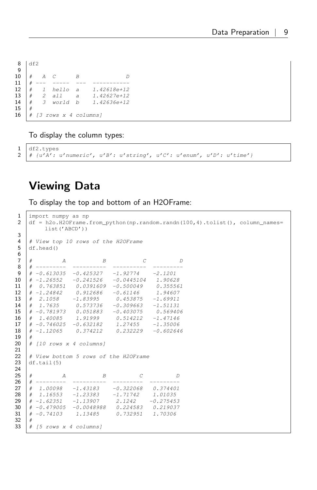| $\frac{8}{9}$ | df2 |                |                   |                |                |
|---------------|-----|----------------|-------------------|----------------|----------------|
|               |     |                |                   |                |                |
| 10            |     | А              |                   |                |                |
| 11            |     |                |                   |                |                |
| 12            |     |                | hello             | $\overline{a}$ | 1.42618e+12    |
| 13            | #   | $\overline{2}$ | all               | $\overline{a}$ | $1.42627 + 12$ |
| 14            | #   |                | 3 world           | h              | 1.42636e+12    |
| 15            |     |                |                   |                |                |
| 16            |     | Г3             | rows x 4 columns] |                |                |

To display the column types:

```
1 df2.types
2 \mid # \{u'A': u'numeric', u'B': u'sstring', u'C': u'enum', u'D': u'time'\}\
```
### <span id="page-8-0"></span>Viewing Data

To display the top and bottom of an H2OFrame:

```
1 import numpy as np<br>2 df = h20.H20Frame.
       2 df = h2o.H2OFrame.from_python(np.random.randn(100,4).tolist(), column_names=
               list('ABCD'))
 3
  4 | # View top 10 rows of the H2OFrame
 5 df.head()
 6
  7 \mid \# A B C D
 \begin{array}{cccc} 8 & # & \text{---} \ -9 & # & -0.613035 & -0.425327 & -1.92774 & -2.1201 \end{array}# -0.613035 -0.425327 -1.9277410 \# -1.26552 -0.241526 -0.0445104 1.90628
11 \begin{array}{cccc} 11 \ \# & 0.763851 & 0.0391609 & -0.500049 & 0.355561 \end{array}<br>12 \begin{array}{cccc} 1 & -1.24842 & 0.912686 & -0.61146 & 1.94607 \end{array}12 # -1.24842 0.912686 -0.61146 1.94607
13 # 2.1058 -1.83995 0.453875 -1.69911
14 \mid # \quad 1.7635 \qquad 0.573736 \qquad -0.309663 \qquad -1.5113115 # -0.781973 0.051883 -0.403075 0.569406
16 # 1.40085 1.91999 0.514212 -1.47146
17 # -0.746025 -0.632182 1.27455 -1.35006
18 \mid # -1.12065 0.374212 0.232229 -0.602646
\begin{array}{c|c} 19 & \# \\ 20 & \# \end{array}\# [10 rows x 4 columns]
21
22 \# View bottom 5 rows of the H2OFrame<br>23 df.tail(5)
      df.tail(5)\frac{24}{25}25 \begin{array}{cccc} 25 & \# & A & B & C & D \\ \# & \text{---} & \text{---} & \text{---} & \text{---} & \text{---} & \text{---} & \end{array}# --------- ----------- ---------<br># 1.00098 -1.43183 -0.322068
\begin{array}{ccccccccc}\n\textbf{27} & \# & 1.00098 & -1.43183 & -0.322068 & 0.374401 \\
\# & 1.16553 & -1.23383 & -1.71742 & 1.01035\n\end{array}28 # 1.16553 -1.23383 -1.71742 1.01035
29 # -1.62351 -1.13907 2.1242 -0.275453
30 \begin{array}{cccc} 30 \end{array} \begin{array}{cccc} \# & -0.479005 & -0.0048988 & 0.224583 & 0.219037 \end{array}<br>31 \begin{array}{cccc} \# & -0.74103 & 1.13485 & 0.732951 & 1.70306 \end{array}\sharp -0.74103 1.13485
\begin{array}{c|c} 32 & \# \\ 33 & \# \end{array}\# \{5 \text{ rows } x \text{ 4 columns}\}
```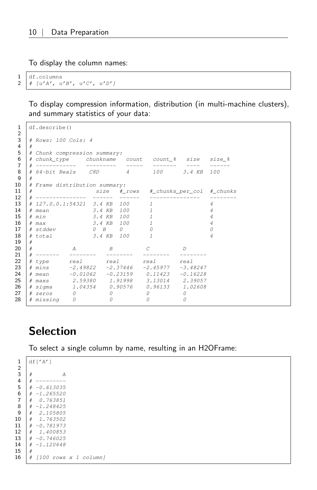To display the column names:

1 df.columns  $2 \mid # \text{ [u'A', u'B', u'C', u'D']}$ 

> To display compression information, distribution (in multi-machine clusters), and summary statistics of your data:

```
1 df.describe()
  2
 3 # Rows: 100 Cols: 4
 4 \#5 | # Chunk compression summary:
  6 # chunk_type chunkname count count_% size size_%
7 # ------------ --------- ----- ------- ---- ------
 8 # 64-bit Reals C8D 4 100 3.4 KB 100
\begin{array}{c|c}\n 9 & \# \\
 10 & \# \n\end{array}# Frame distribution summary:<br># size  # i11 # size #_rows #_chunks_per_col #_chunks
12 # --------------- ------ ------ --------------- --------
13 \begin{array}{c|cccccc}\n13 & \# & 127.0.0.1:54321 & 3.4 KB & 100 & 1 & 4 \\
\hline\n14 & \# & mean & 3.4 KB & 100 & 1 & 4\n\end{array}14 | # mean 3.4 KB 100 1 4
15 \begin{array}{c|cccc}\n\text{# min} \\
\text{# max} \\
\text{3.4 KB } 100 \\
\text{10} \\
\text{11} \\
\text{22} \\
\text{33.4 KB } 100 \\
\text{12} \\
\text{44} \\
\text{55} \\
\text{16} \\
\text{17} \\
\text{18} \\
\text{19} \\
\text{10} \\
\text{10} \\
\text{11} \\
\text{12} \\
\text{13} \\
\text{14} \\
\text{15} \\
\text{16} \\
\text{17} \\
\text{18} \\
\text{19} \\
\text{19} \\
\text{10} \\
\text{16 \# max 3.4 KB 100 1
17 \begin{array}{c|cccc} 17 & \# \; \text{stddev} & 0 & B & 0 & 0 & 0 \\ \# \; \text{total} & .3.4 & KB & 100 & 1 & 4 \end{array}3.4 KB 100 1 4
\begin{array}{c|c} 19 & \# \\ 20 & \# \end{array}20 \# A B C D
21 # ------- -------- -------- -------- --------
22 # type real real real real
23 # mins -2.49822 -2.37446 -2.45977 -3.48247
24 # mean -0.01062 -0.23159 0.11423 -0.16228
25 # maxs 2.59380 1.91998 3.13014 2.39057
26 # sigma 1.04354 0.90576 0.96133 1.02608
27 # zeros 0 0 0 0
27 # 22005<br>28 # missing 0 0 0 0 0<br>28 # missing 0 0 0 0
```
#### <span id="page-9-0"></span>**Selection**

To select a single column by name, resulting in an H2OFrame:

 $1$  df['A']  $\frac{2}{3}$ 3  $\begin{array}{c} 3 \\ 4 \end{array}$   $\begin{array}{c} 4 \\ 4 \end{array}$  --------- $5 \mid # -0.613035$ 6  $\#$  -1.265520 7 # 0.763851  $\begin{array}{c|cc} 8 & # & -1.248425 \\ 9 & # & 2.105805 \end{array}$  $\begin{array}{c|cc}\n\textbf{9} & \# & 2.105805 \\
\textbf{10} & \# & 1.763502\n\end{array}$  $\#$  1.763502  $\begin{array}{c|cc}\n\mathbf{11} & \# & -0.781973 \\
\hline\n\textbf{12} & \# & 1.400853\n\end{array}$  $\begin{array}{c|cc}\n 12 & \# & 1.400853 \\
 \hline\n 13 & \# & -0.746025\n \end{array}$  $# -0.746025$ 14  $\begin{array}{|c|c|} \hline +& -1.120648 \ \hline \end{array}$ **15** 16 # [100 rows x 1 column]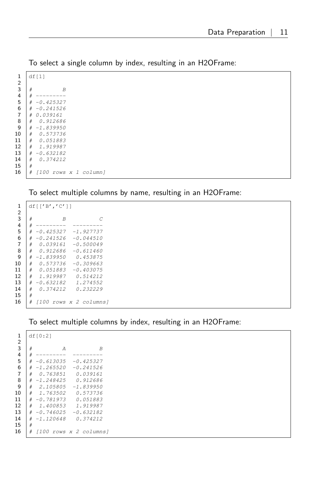To select a single column by index, resulting in an H2OFrame:

| 1              |   | df[1]                     |  |  |
|----------------|---|---------------------------|--|--|
| $\overline{2}$ |   |                           |  |  |
| $\overline{3}$ | # | $\overline{B}$            |  |  |
| 4              | # |                           |  |  |
| 5              | # | $-0.425327$               |  |  |
| 6              | # | $-0.241526$               |  |  |
| $\overline{7}$ | # | 0.039161                  |  |  |
| 8              | # | 0.912686                  |  |  |
| 9              | # | $-1.839950$               |  |  |
| 10             | # | 0.573736                  |  |  |
| 11             | # | 0.051883                  |  |  |
| 12             | # | 1.919987                  |  |  |
| 13             | # | $-0.632182$               |  |  |
| 14             | # | 0.374212                  |  |  |
| 15             | # |                           |  |  |
| 16             | # | $1100$ rows $x$ 1 column] |  |  |
|                |   |                           |  |  |

To select multiple columns by name, resulting in an H2OFrame:

| 1              |   | df[['B','C']]  |                        |
|----------------|---|----------------|------------------------|
| $\overline{c}$ |   |                |                        |
| $\overline{3}$ | # | $\overline{B}$ | C                      |
| 4              | # |                |                        |
| 5              | # | -0.425327      | $-1.927737$            |
| 6              | # | $-0.241526$    | $-0.044510$            |
| $\overline{7}$ | # | 0.039161       | $-0.500049$            |
| 8              | # | 0.912686       | $-0.611460$            |
| 9              | # | $-1.839950$    | 0.453875               |
| 10             | # | 0.573736       | $-0.309663$            |
| 11             | # | 0.051883       | $-0.403075$            |
| 12             | # | 1.919987       | 0.514212               |
| 13             | # | $-0.632182$    | 1.274552               |
| 14             | # | 0.374212       | 0.232229               |
| 15             | # |                |                        |
| 16             | # |                | [100 rows x 2 columns] |

#### To select multiple columns by index, resulting in an H2OFrame:

| 1              | df[0:2]                         |   |
|----------------|---------------------------------|---|
| $\overline{2}$ |                                 |   |
| $\overline{3}$ | #<br>А                          | B |
| $\overline{4}$ | #                               |   |
| 5              | $-0.613035$<br>$-0.425327$<br># |   |
| 6              | $-1.265520$<br>-0.241526<br>#   |   |
| $\overline{7}$ | 0.763851<br>0.039161<br>#       |   |
| 8              | $-1.248425$<br>0.912686<br>#    |   |
| 9              | 2.105805<br>$-1.839950$<br>#    |   |
| 10             | 1.763502<br>0.573736<br>#       |   |
| 11             | 0.051883<br>$-0.781973$<br>#    |   |
| 12             | 1.919987<br>1.400853<br>#       |   |
| 13             | #<br>$-0.746025$<br>$-0.632182$ |   |
| 14             | $-1.120648$<br>0.374212<br>#    |   |
| 15             | #                               |   |
| 16             | #<br>[100 rows x 2 columns]     |   |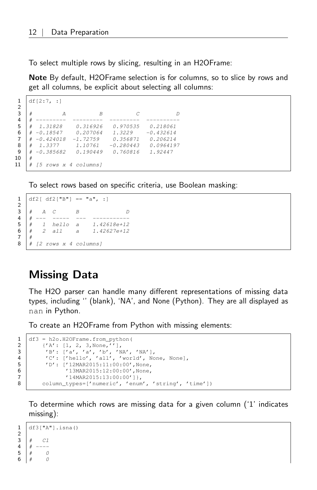To select multiple rows by slicing, resulting in an H2OFrame:

Note By default, H2OFrame selection is for columns, so to slice by rows and get all columns, be explicit about selecting all columns:

```
1 df[2:7, :]
 \frac{2}{3}3 \mid # A B C D
  4 # --------- --------- --------- ----------
5 # 1.31828 0.316926 0.970535 0.218061
6 # -0.18547 0.207064 1.3229 -0.432614
 \begin{array}{ccccccccc}\n7 & # & -0.424018 & -1.72759 & & 0.356871 & & 0.206214 \\
8 & # & 1.3377 & & 1.10761 & -0.280443 & & 0.096419\n\end{array}\begin{array}{cccc} 8 & \# & 1.3377 & 1.10761 & -0.280443 & 0.0964197 \\ 9 & \# & -0.385682 & 0.190449 & 0.760816 & 1.92447 \end{array}9 # -0.385682 0.190449 0.760816 1.92447
10 #
11 \# [5 rows x 4 columns]
```
To select rows based on specific criteria, use Boolean masking:

1 df2[ df2["B"] == "a", :]  $3 \#$  A C B D  $\begin{array}{|c|c|c|c|c|}\n4 & # & -- & -- & -- & -- \\
5 & # & 1 & held & a\n\end{array}$ 5 # 1 hello a 1.42618e+12 6 # 2 all a 1.42627e+12 8 # [2 rows x 4 columns]

### <span id="page-11-0"></span>Missing Data

2

 $\frac{7}{8}$ 

The H2O parser can handle many different representations of missing data types, including '' (blank), 'NA', and None (Python). They are all displayed as nan in Python.

To create an H2OFrame from Python with missing elements:

```
1 df3 = h2o.H2OFrame.from_python(<br>
\binom{1}{2} \binom{1}{2}: [1, 2, 3, None,''],
2 {'A': [1, 2, 3,None,''],
3 'B': ['a', 'a', 'b', 'NA', 'NA'],
4 'C': ['hello', 'all', 'world', None, None],
5 'D': ['12MAR2015:11:00:00',None,
6 '13MAR2015:12:00:00',None,
7 | '14MAR2015:13:00:00']},
8 column_types=['numeric', 'enum', 'string', 'time'])
```
To determine which rows are missing data for a given column ('1' indicates missing):

```
1 \mid df3["A"].isna()
\frac{2}{3}3 # C1
4 # ---\begin{array}{c|cc} 5 & # & 0 \\ 6 & # & 0 \end{array}#
```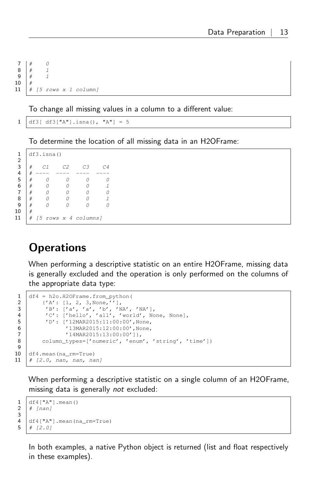$7 \mid # \qquad 0$ 8 # 1  $9 \# 1$  $10 \mid #$ 11  $\#$  [5 rows x 1 column]

To change all missing values in a column to a different value:

 $1 \mid df3[ df3[ "A" ] .isna(), "A" ] = 5$ 

To determine the location of all missing data in an H2OFrame:

```
1 | df3.isna()2
3 \mid # C1 C2 C3 C44 # ---- ---- ---- ----
5 # 0 0 0 0
6 | # 0 0 0 1
7 # 0 0 0 0
8 # 0 0 0 1
9 | # 0 0 0 0 0
10 \mid #11 | # [5 rows x 4 columns]
```
### <span id="page-12-0"></span>**Operations**

When performing a descriptive statistic on an entire H2OFrame, missing data is generally excluded and the operation is only performed on the columns of the appropriate data type:

```
\frac{9}{10}
```
3

 $\frac{1}{2}$  df4 = h2o.H2OFrame.from\_python(<br>{'A': [1, 2, 3, None,''], 2 {'A': [1, 2, 3,None,''], 3 'B': ['a', 'a', 'b', 'NA', 'NA'], 4 'C': ['hello', 'all', 'world', None, None], 5 'D': ['12MAR2015:11:00:00',None, 6  $'13MAR2015:12:00:00', None, 7$ <br>'14MAR2015:13:00:00']}, 7 '14MAR2015:13:00:00']}, 8 | column\_types=['numeric', 'enum', 'string', 'time']) df4.mean(na\_rm=True)  $11 \mid # \n2.0, \n\text{nan}, \n\text{nan}, \n\text{nan}$ 

When performing a descriptive statistic on a single column of an H2OFrame, missing data is generally not excluded:

```
\frac{1}{2} df4["A"].mean()
      # [nan]
4 \left| \frac{df4}{m} \right| mean (na_rm=True)<br>5 \left| \frac{df4}{f} \right| /2.01
      # [2.0]
```
In both examples, a native Python object is returned (list and float respectively in these examples).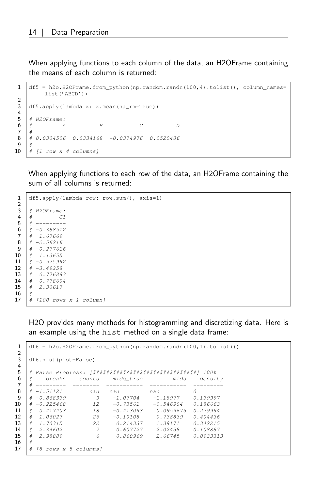When applying functions to each column of the data, an H2OFrame containing the means of each column is returned:

```
1 df5 = h2o.H2OFrame.from python(np.random.randn(100,4).tolist(), column names=
           list('ABCD'))
 \frac{2}{3}df5.apply(lambda x: x.mean(na_rm=True))
 4
 5 \# H2OFrame:
 6 \begin{array}{cc} 6 & \# & A & B & C & D \\ \# & \text{---} & \text{---} & \text{---} & \text{---} & \text{---} & \end{array}7 # --------- --------- ---------- ---------
 8 # 0.0304506 0.0334168 -0.0374976 0.0520486
 9
10 | # [1 row x 4 columns]
```
When applying functions to each row of the data, an H2OFrame containing the sum of all columns is returned:

```
1 df5.apply(lambda row: row.sum(), axis=1)
  \frac{2}{3}# H2OFrame:4 \mid # C15 \mid # \ \ \text{-} \text{-} \text{-} \text{-} \text{-} \text{-}6 \# -0.388512
  7 # 1.67669
  8 \# -2.56216\begin{array}{c|cc} 9 & # & -0.277616 \\ 10 & # & 1.13655 \end{array}\begin{array}{c|cc}\n\textbf{10} & # & 1.13655 \\
\textbf{11} & # & -0.57599\n\end{array}# -0.575992\begin{array}{c|cc} 12 & # & -3.49258 \\ 13 & # & 0.77688 \end{array}\begin{array}{c|cc}\n\mathbf{13} & \# & 0.776883 \\
\mathbf{14} & \# & -0.778604\n\end{array}# -0.77860415 # 2.30617
16 \mid #17 \mid # \mid 100 \text{rows} x 1 \text{ column}
```
H2O provides many methods for histogramming and discretizing data. Here is an example using the hist method on a single data frame:

```
1 df6 = h2o.H2OFrame.from python(np.random.randn(100,1).tolist())
 2
 3 df6.hist(plot=False)
 4
 5 # Parse Progress: [###############################] 100%
  6 # breaks counts mids_true mids density
 7 # --------- -------- ----------- ----------- ---------
 \begin{array}{c|cccc}\n8 & # & -1.51121 & & \text{nan} & \text{nan} & \text{nan} & 0 \\
9 & # & -0.868339 & & 9 & -1.07704 & -1.18977 & 0.\n\end{array}\begin{array}{ccccccccc} 9 & # & -0.868339 & & 9 & -1.07704 & -1.18977 & 0.139997 \ 10 & # & -0.225468 & & & 12 & -0.73561 & -0.546904 & 0.186663 \end{array}\begin{array}{c|cccccc} \textbf{10} & \texttt{\#} & -0.225468 & & & 12 & -0.73561 & -0.546904 & 0.186663 \\ \textbf{11} & \texttt{\#} & 0.417403 & & & 18 & -0.413093 & 0.0959675 & 0.279994 \end{array}11 # 0.417403 18 -0.413093 0.0959675 0.279994
\begin{array}{c|cccccc} 12 & # & 1.06027 & & 26 & -0.10108 & & 0.738839 & 0.404436 \\ 13 & # & 1.70315 & & 22 & 0.214337 & 1.38171 & 0.342215 \end{array}\begin{array}{c|cccccc} \textbf{13} & \# & \textbf{1.70315} & \textbf{22} & \textbf{0.214337} & \textbf{1.38171} & \textbf{0.342215} \\ \textbf{14} & \# & \textbf{2.34602} & \textbf{7} & \textbf{0.607727} & \textbf{2.02458} & \textbf{0.108887} \end{array}14 # 2.34602 7 0.607727 2.02458 0.108887
15 # 2.98889 6 0.860969 2.66745 0.0933313
16 \mid #17 \mid # \text{ [8 rows x 5 columns]}
```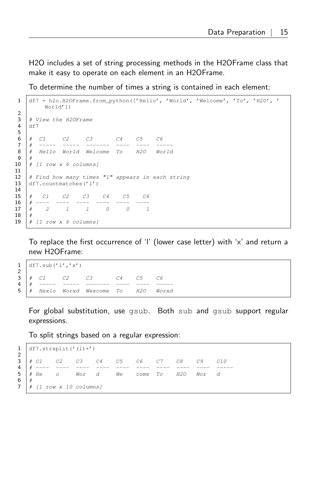H2O includes a set of string processing methods in the H2OFrame class that make it easy to operate on each element in an H2OFrame.

To determine the number of times a string is contained in each element:

```
1 df7 = h2o.H2OFrame.from_python(['Hello', 'World', 'Welcome', 'To', 'H2O', '
           World'])
    3 # View the H2OFrame
 4 df7
 6 # C1 C2 C3 C4 C5 C6
 7 # ----- ----- ------- ---- ---- -----
 8 # Hello World Welcome To H2O World
     # [1 row x 6 columns]
12 \# Find how many times "1" appears in each string
13 df7.countmatches('l')
15 | # C1 C2 C3 C4 C5 C6<br>16 | # ---- ---- ---- ---- ---- ----
15 \begin{array}{cccccc} 15 & \# & C1 & C2 & C3 & C4 & C5 \\ \# & ---- & ---- & ---- & ---- & ---- & ---- \\ 17 & \# & 2 & 1 & 1 & 0 & 0 \end{array}17 \mid # \quad 2 \quad 1 \quad 1 \quad 0 \quad 0 \quad 118 \mid #19 \mid # \text{ [}1 \text{ row } x \text{ 6 columns} \text{]}
```
To replace the first occurrence of 'l' (lower case letter) with 'x' and return a new H2OFrame:

 $1 | df7.sub('1', 'x')$ 3 # C1 C2 C3 C4 C5 C6  $\begin{array}{ccccccccc}\n3 & # & C1 & C2 & C3 & C4 & C5 & C6 \\
4 & # & ----- & ----- & ----- & ----- & ----- & ----- & ----\n\end{array}$ 5 # Hexlo Worxd Wexcome To H2O Worxd

For global substitution, use gsub. Both sub and gsub support regular expressions.

To split strings based on a regular expression:

|                | $1   df7.strsplit(' (1) +')$ |                 |                        |       |    |    |      |    |     |       |     |
|----------------|------------------------------|-----------------|------------------------|-------|----|----|------|----|-----|-------|-----|
| $\overline{2}$ |                              |                 |                        |       |    |    |      |    |     |       |     |
| 3 <sup>1</sup> |                              | $\#$ C1         | C2                     | C3    | C4 | C5 | C6   | C7 | C8  | C9    | C10 |
| 4              |                              |                 |                        |       |    |    |      |    |     |       |     |
| 5 <sup>1</sup> |                              | # He<br>$\circ$ |                        | Wor d |    | We | come | To | H2O | Wor d |     |
| 6              |                              |                 |                        |       |    |    |      |    |     |       |     |
| $7^{\circ}$    |                              |                 | # [1 row x 10 columns] |       |    |    |      |    |     |       |     |

 $\frac{2}{3}$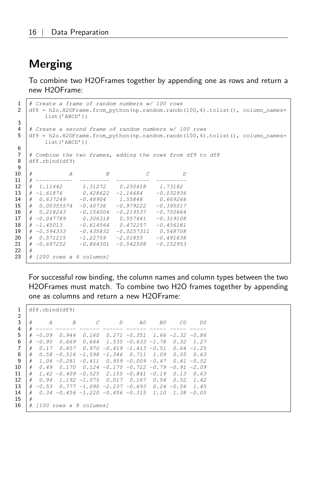### <span id="page-15-0"></span>Merging

To combine two H2OFrames together by appending one as rows and return a new H2OFrame:

```
1 \# Create a frame of random numbers w/100 rows<br>2 df8 = h2o.H2OFrame.from python (np.random.randn)
     d df8 = h2o.H2OFrame.from_python(np.random.randn(100,4).tolist(), column_names=
                list('ABCD'))
 3
 4 \# Create a second frame of random numbers w/100 rows<br>5 df9 = h2o.H2OFrame.from python(np.random.randn(100.4)
     df9 = h2o.H2OFrame.frompython(np.random.randn(100,4).tolist(), column_names=
               list('ABCD'))
 6
 7 \mid \# Combine the two frames, adding the rows from df9 to df8
 8 df8.rbind(df9)
 9
10 \# A B C D
\begin{array}{c|cccccc} 11 & \# & \text{---} & \text{---} & \text{---} & \text{---} & \text{---} & \text{---} & \text{---} & \text{---} \\ 12 & \# & 1.11442 & & 1.31272 & & 0.250418 & & 1.73182 \end{array}# 1.11442 1.31272<br>
# -1.61876 0.428622
\begin{array}{c|cccc}\n\textbf{13} & \textbf{\#} & -1.61876 & \textbf{0.428622} & -1.16684 & -0.032936 \\
\textbf{14} & \textbf{\#} & 0.637249 & -0.48904 & 1.55848 & 0.669266\n\end{array}-0.48904 1.55848<br>-0.40736 -0.97922215 # 0.00355574 -0.40736 -0.979222 -0.395017
16 # 0.218243 -0.154004 -0.219537 -0.750664
17 \mid # -0.047789 0.306318 0.557441 -0.319108
18 \begin{array}{cccc} \# & -1.45013 & -0.614564 & 0.472257 & -0.456181 \end{array}<br>19 \begin{array}{cccc} \# & -0.594333 & -0.435832 & -0.0257311 & 0.548708 \end{array}19 \begin{array}{cccc} \# -0.594333 & -0.435832 & -0.0257311 & 0.548708 \\ \# & 0.571215 & -1.22759 & -2.01855 & -0.491638 \end{array}20 \begin{array}{cccc} \# & 0.571215 & -1.22759 & -2.01855 \\ \# & -0.697252 & -0.864301 & -0.542508 \end{array}-0.864301 -0.542508 -0.152953\begin{array}{c|c}\n22 & # \\
23 & # \\
\end{array}\# [200 rows x 4 columns]
```
For successful row binding, the column names and column types between the two H2OFrames must match. To combine two H2O frames together by appending one as columns and return a new H2OFrame:

| 1<br>$\overline{2}$ |   |         | df8.cbind(df9)                                                   |                                 |                                         |                                      |         |               |               |
|---------------------|---|---------|------------------------------------------------------------------|---------------------------------|-----------------------------------------|--------------------------------------|---------|---------------|---------------|
| 3                   | # | A       | $\overline{B}$                                                   | C                               | D                                       | A0                                   | B0      | CO            | D0            |
| 4                   |   |         |                                                                  |                                 |                                         |                                      |         |               |               |
| 5                   | # | $-0.09$ | 0.944                                                            | 0.160                           |                                         | $0.271 - 0.351$ $1.66 - 2.32 - 0.86$ |         |               |               |
| 6                   | # | $-0.95$ | 0.669                                                            | 0.664                           | $1.535 - 0.633 - 1.78$                  |                                      |         | 0.32          | 1.27          |
|                     | # | 0.17    | 0.657                                                            |                                 | $0.970 - 0.419 - 1.413 - 0.51$          |                                      |         | 0.64 -1.25    |               |
| 8                   | # |         | $0.58 - 0.516 - 1.598 - 1.346$ $0.711$ $1.09$                    |                                 |                                         |                                      |         | 0.05          | 0.63          |
| 9                   | # |         | $1.04 - 0.281 - 0.411$ $0.959 - 0.009 - 0.47$                    |                                 |                                         |                                      |         |               | $0.41 - 0.52$ |
| 10                  | # | 0.49    | 0.170                                                            |                                 | $0.124$ -0.170 -0.722 -0.79 -0.91 -2.09 |                                      |         |               |               |
| 11                  | # |         | $1.42 - 0.409 - 0.525$                                           |                                 | 2.155 -0.841                            |                                      | $-0.19$ | 0.13          | 0.63          |
| 12                  | # | 0.94    |                                                                  | $1.192 - 1.075$                 | 0.017                                   | 0.167                                | 0.54    | 0.52          | 1.42          |
| 13                  | # | $-0.53$ |                                                                  | $0.777 - 1.090 - 2.237 - 0.693$ |                                         |                                      |         | $0.24 - 0.56$ | 7.45          |
| 14                  | # |         | $0.34$ $-0.456$ $-1.220$ $-0.456$ $-0.315$ $1.10$ $1.38$ $-0.05$ |                                 |                                         |                                      |         |               |               |
| 15                  | # |         |                                                                  |                                 |                                         |                                      |         |               |               |
| 16                  | # |         | [100 rows x 8 columns]                                           |                                 |                                         |                                      |         |               |               |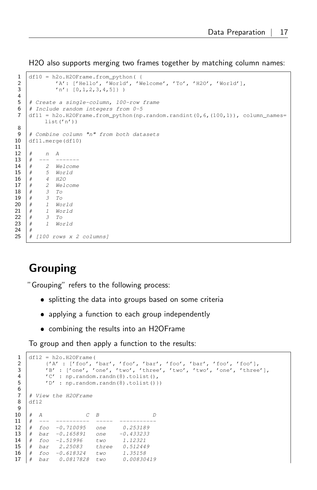H2O also supports merging two frames together by matching column names:

```
1 \mid df10 = h2o.H20Frame.Frompython(2 'A': ['Hello', 'World', 'Welcome', 'To', 'H2O', 'World'],
 \left\{ \n\begin{array}{ccc}\n1 & 1 \\
1 & 2 \\
1 & 3\n\end{array}\n\right\}4
 5 | # Create a single-column, 100-row frame
 6 \# Include random integers from 0-5
 7 df11 = h2o.H2OFrame.from_python(np.random.randint(0,6,(100,1)), column_names=
            list('n'))
 8
9 \# Combine column "n" from both datasets<br>10 dfl1.merge(dfl0)
     df11.merge(df10)
11
12 \quad # \quad n \quad A13 \mid # \quad--- \quad---14 # 2 Welcome
15 \# 5 World
16 \mid # \qquad 4 \quad H2O17 \# 2 Welcome
\begin{array}{c|cc} 18 & # & 3 & To \\ 19 & # & 3 & To \end{array}# 3 To
\begin{array}{ccc} 20 & # & 1 & World \\ 21 & # & 1 & World \end{array}\begin{array}{ccc} 21 & # & 1 & World \\ 22 & # & 3 & To \end{array}\begin{array}{ccc} 22 & # & 3 & To \\ 23 & # & 1 & Wo \end{array}1 World
24 \#25 # [100 rows x 2 columns]
```
### <span id="page-16-0"></span>Grouping

"Grouping" refers to the following process:

- splitting the data into groups based on some criteria
- applying a function to each group independently
- combining the results into an H2OFrame

To group and then apply a function to the results:

```
1 df12 = h2o.H2OFrame(
 2 {'A' : ['foo', 'bar', 'foo', 'bar', 'foo', 'bar', 'foo', 'foo'],
3 'B' : ['one', 'one', 'two', 'three', 'two', 'two', 'one', 'three'],
 4 'C': np.random.randn(8).tolist(),
 5 /D': np.random.randn(8).tolist()})
 6<br>7
     # View the H2OFrame
 8 df12
\begin{array}{c} 9 \\ 10 \end{array}# A C B D<br># --- ---------- ----- ------------
11 \parallel \# --- ---------- ----- ---------<br>12 \parallel \# foo -0.710095 one 0.253189
12 # foo -0.710095 one 0.253189
13 # bar -0.165891 one -0.433233
14 # foo -1.51996 two 1.12321
                2.25083 three 0.51244.<br>-0.618324 two 1.35158
16 # f \circ \circ -0.618324 two 1.35158<br>17 # bar 0.0817828 two 0.00830419
17 \# bar 0.0817828 two
```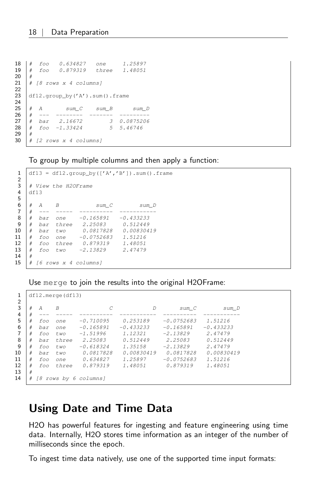18 # foo 0.634827 one 1.25897<br>19 # foo 0.879319 three 1.48051 19 # foo 0.879319 three 1.48051  $\begin{array}{c|c} 20 & \# \\ 21 & \# \end{array}$  $\#$  [8 rows x 4 columns] 23 df12.group\_by('A').sum().frame 25 # A sum\_C sum\_B sum\_D 26 # --- -------- ------- --------<br>27 # bar 2.16672 3 0.0875206 27 # bar 2.16672 3 0.0875206 28 # foo -1.33424 5 5.46746  $\begin{array}{c|c} 29 & \# \\ 30 & \# \end{array}$  $\#$  [2 rows x 4 columns]

To group by multiple columns and then apply a function:

```
1 df13 = df12.group_by(['A', 'B']).sum().frame
 2
 3 | # View the H2OFrame
 4 df13
 6 \begin{array}{cccc} 6 & \# & A & B & sum\_C & sum\_D \\ \hline 7 & \# & \text{---} & \text{---} & \text{---} & \text{---} & \text{---} & \end{array}7 # --- ----- ---------- -----------
8 # bar one -0.165891 -0.433233
9 # bar three 2.25083 0.512449
10 # bar two 0.0817828 0.00830419
11 \frac{1}{4} foo one -0.0752683 1.51216
12 \# foo three 0.879319 1.48051<br>13 \# foo two -2.13829 2.47479
13 \# foo two -2.13829
15 \# [6 rows x 4 columns]
```
Use merge to join the results into the original H2OFrame:

| 1              |   |     | $df12.$ merge $(df13)$ |                    |             |              |             |
|----------------|---|-----|------------------------|--------------------|-------------|--------------|-------------|
| 2<br>3         | # | A   | $\boldsymbol{B}$       |                    | D           | sum C        | sum D       |
| $\overline{4}$ | # |     |                        |                    |             |              |             |
| 5              | # | foo | one                    | $-0.710095$        | 0.253189    | $-0.0752683$ | 1.51216     |
| 6              |   | bar | one                    | $-0.165891$        | $-0.433233$ | $-0.165891$  | $-0.433233$ |
|                | # | foo | two                    | $-1.51996$         | 1.12321     | $-2.13829$   | 2.47479     |
| 8              | # | bar | three                  | 2.25083            | 0.512449    | 2.25083      | 0.512449    |
| 9              | # | foo | t wo                   | $-0.618324$        | 1.35158     | $-2.13829$   | 2.47479     |
| 10             | # | bar | two                    | 0.0817828          | 0.00830419  | 0.0817828    | 0.00830419  |
| 11             | # | foo | one                    | 0.634827           | 1.25897     | $-0.0752683$ | 1.51216     |
| 12             | # | foo | three                  | 0.879319           | 1.48051     | 0.879319     | 1.48051     |
| 13             | # |     |                        |                    |             |              |             |
| 14             |   | -8  |                        | rows by 6 columns] |             |              |             |

### <span id="page-17-0"></span>Using Date and Time Data

H2O has powerful features for ingesting and feature engineering using time data. Internally, H2O stores time information as an integer of the number of milliseconds since the epoch.

To ingest time data natively, use one of the supported time input formats:

22  $\frac{24}{25}$ 

5  $14\,$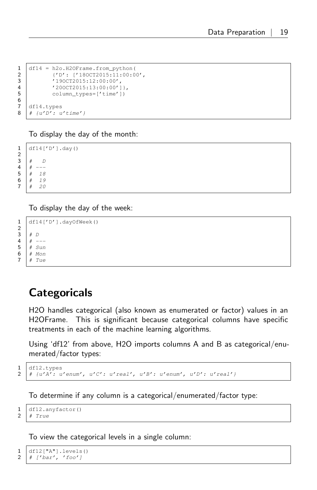```
1 \text{ df14} = \text{h2o.H20Frame}.from_python(<br>2 \text{ f/D'}: 1180072015:11:00:02 {'D': ['18OCT2015:11:00:00',<br>3 '19OCT2015:12:00:00',
                  3 '19OCT2015:12:00:00',
4 (200 \text{CT} 2015:13:00:00')<br>5 \text{column types} = ['time']5 column_types=['time'])
\begin{array}{c} 7 \ 8 \ \end{array} df14.types
      # {u'D' : u'time' }
```
To display the day of the month:

1 df14['D'].day()  $\begin{array}{c|cc} 3 & # & D \\ 4 & # &--- \end{array}$  $\begin{array}{c|c}\n4 & # & -- \\
5 & # & 18\n\end{array}$  $\begin{array}{c|cc} 5 & \# & 18 \\ 6 & \# & 19 \end{array}$  $\begin{array}{c|cc} 6 & \# & 19 \\ 7 & \# & 20 \end{array}$ 20

To display the day of the week:

```
1 df14['D'].dayOfWeek()
       # D4 # ---
\begin{array}{c|c}\n5 & \# \quad Sun \\
6 & \# \quad Mon\n\end{array}6 # Mon
7 \mid # \text{ The}
```
### <span id="page-18-0"></span>**Categoricals**

H2O handles categorical (also known as enumerated or factor) values in an H2OFrame. This is significant because categorical columns have specific treatments in each of the machine learning algorithms.

Using 'df12' from above, H2O imports columns A and B as categorical/enumerated/factor types:

```
\frac{1}{2} df12.types
   2 # {u'A': u'enum', u'C': u'real', u'B': u'enum', u'D': u'real'}
```
To determine if any column is a categorical/enumerated/factor type:

 $\frac{1}{2}$  df12.anyfactor() # True

To view the categorical levels in a single column:

```
\frac{1}{2} df12["A"].levels()
    2 # ['bar', 'foo']
```
 $\frac{6}{7}$ 

 $\frac{2}{3}$ 

```
\frac{2}{3}
```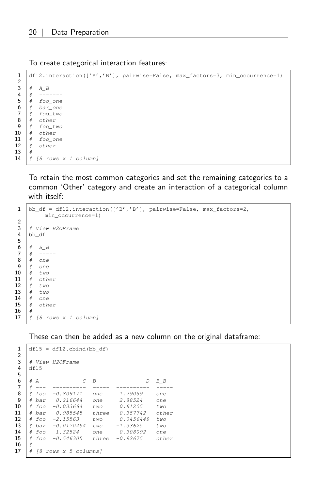To create categorical interaction features:

```
1 df12.interaction(['A','B'], pairwise=False, max_factors=3, min_occurrence=1)
\frac{2}{3}# A_B4 \# \quad -- ---5 \mid # \text{foo\_one}6 # bar\_one7 # foo_two8 # other
9 # foo\_two10 # other
11 # foo_one
12 # other
13 #
14 \# [8 rows x 1 column]
```
To retain the most common categories and set the remaining categories to a common 'Other' category and create an interaction of a categorical column with itself:

```
1 \vertbb_df = df12.interaction(['B','B'], pairwise=False, max_factors=2,
             min_occurrence=1)
 2
 3 # View H2OFrame
 4 bb_df
 5
 6 # B<sub>B</sub>
 7 \t# \t---\begin{array}{c|cc} 8 & \# & \text{one} \\ 9 & \# & \text{one} \end{array}# one
10 # two11 \begin{array}{cc} \n# & \text{other} \\
12 & \# & \text{two}\n\end{array}12 # two
13 # two
14 # one
15 # other
16 \t#17 \mid # \mid 8 \text{ rows } x \text{ 1 column}
```
These can then be added as a new column on the original dataframe:

```
1 \text{ df15} = df12 \text{.} \text{cbind} \text{ (bb_d f)}\frac{2}{3}3 # View H2OFrame
 4 df15
 5
 6 # A C B D B B
 7 \# ---8 # foo -0.809171 one 1.79059 one
 9 # bar 0.216644 one 2.88524 one
10 # foo -0.033664 two 0.61205 two
11 # bar 0.985545 three 0.357742 other
12 # foo -2.15563 two 0.0456449 two<br>13 # bar -0.0170454 two -1.33625 two
13 # bar -0.0170454 two -1.33625 two<br>14 # foo 1.32524 one 0.308092 one
14 \# foo 1.32524 one 0.308092 one<br>15 \# foo -0.546305 three -0.92675 oth
    15 # foo -0.546305 three -0.92675 other
16 #
17 \# [8 rows x 5 columns]
```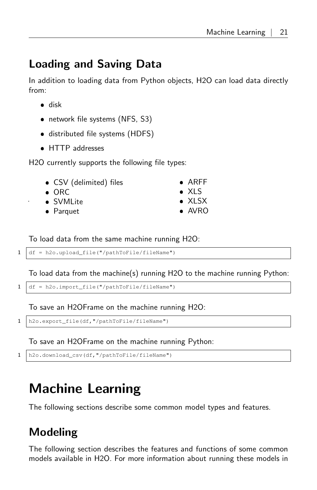### Loading and Saving Data

In addition to loading data from Python objects, H2O can load data directly from:

- disk
- network file systems (NFS, S3)
- distributed file systems (HDFS)
- HTTP addresses

H2O currently supports the following file types:

- CSV (delimited) files
- $\bullet$  ORC
- SVMLite
- Parquet
- ARFF XLS
- $\bullet$  XLSX
- AVRO

To load data from the same machine running H2O:

```
1 df = h2o.upload_file("/pathToFile/fileName")
```
To load data from the machine(s) running H2O to the machine running Python:

```
1 df = h2o.import_file("/pathToFile/fileName")
```
To save an H2OFrame on the machine running H2O:

```
1 | h2o.export_file(df, "/pathToFile/fileName")
```
To save an H2OFrame on the machine running Python:

```
1 h2o.download_csv(df,"/pathToFile/fileName")
```
# <span id="page-20-0"></span>Machine Learning

<span id="page-20-1"></span>The following sections describe some common model types and features.

### Modeling

The following section describes the features and functions of some common models available in H2O. For more information about running these models in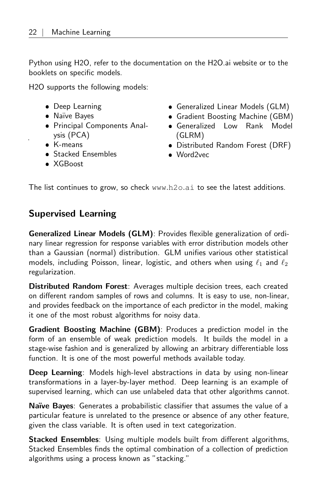Python using H2O, refer to the documentation on the H2O.ai website or to the booklets on specific models.

H2O supports the following models:

- Deep Learning
- Naïve Bayes
- Principal Components Analysis (PCA)
- K-means
- **Stacked Ensembles**
- Generalized Linear Models (GLM)
- Gradient Boosting Machine (GBM)
- Generalized Low Rank Model (GLRM)
- Distributed Random Forest (DRF)
- Word2vec

XGBoost

<span id="page-21-0"></span>The list continues to grow, so check [www](www.h2o.ai).h2o.ai to see the latest additions.

#### Supervised Learning

Generalized Linear Models (GLM): Provides flexible generalization of ordinary linear regression for response variables with error distribution models other than a Gaussian (normal) distribution. GLM unifies various other statistical models, including Poisson, linear, logistic, and others when using  $\ell_1$  and  $\ell_2$ regularization.

Distributed Random Forest: Averages multiple decision trees, each created on different random samples of rows and columns. It is easy to use, non-linear, and provides feedback on the importance of each predictor in the model, making it one of the most robust algorithms for noisy data.

Gradient Boosting Machine (GBM): Produces a prediction model in the form of an ensemble of weak prediction models. It builds the model in a stage-wise fashion and is generalized by allowing an arbitrary differentiable loss function. It is one of the most powerful methods available today.

Deep Learning: Models high-level abstractions in data by using non-linear transformations in a layer-by-layer method. Deep learning is an example of supervised learning, which can use unlabeled data that other algorithms cannot.

Naïve Bayes: Generates a probabilistic classifier that assumes the value of a particular feature is unrelated to the presence or absence of any other feature, given the class variable. It is often used in text categorization.

Stacked Ensembles: Using multiple models built from different algorithms, Stacked Ensembles finds the optimal combination of a collection of prediction algorithms using a process known as "stacking."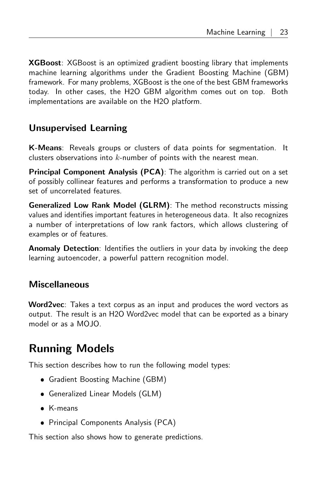**XGBoost**: XGBoost is an optimized gradient boosting library that implements machine learning algorithms under the Gradient Boosting Machine (GBM) framework. For many problems, XGBoost is the one of the best GBM frameworks today. In other cases, the H2O GBM algorithm comes out on top. Both implementations are available on the H2O platform.

#### <span id="page-22-0"></span>Unsupervised Learning

K-Means: Reveals groups or clusters of data points for segmentation. It clusters observations into  $k$ -number of points with the nearest mean.

Principal Component Analysis (PCA): The algorithm is carried out on a set of possibly collinear features and performs a transformation to produce a new set of uncorrelated features.

Generalized Low Rank Model (GLRM): The method reconstructs missing values and identifies important features in heterogeneous data. It also recognizes a number of interpretations of low rank factors, which allows clustering of examples or of features.

<span id="page-22-1"></span>Anomaly Detection: Identifies the outliers in your data by invoking the deep learning autoencoder, a powerful pattern recognition model.

#### Miscellaneous

Word2vec: Takes a text corpus as an input and produces the word vectors as output. The result is an H2O Word2vec model that can be exported as a binary model or as a MOJO.

### <span id="page-22-2"></span>Running Models

This section describes how to run the following model types:

- Gradient Boosting Machine (GBM)
- Generalized Linear Models (GLM)
- K-means
- Principal Components Analysis (PCA)

This section also shows how to generate predictions.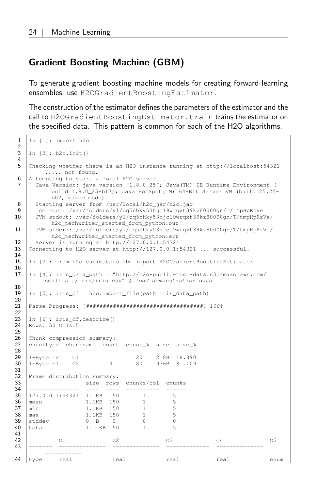#### <span id="page-23-0"></span>Gradient Boosting Machine (GBM)

To generate gradient boosting machine models for creating forward-learning ensembles, use H2OGradientBoostingEstimator.

The construction of the estimator defines the parameters of the estimator and the call to H2OGradientBoostingEstimator.train trains the estimator on the specified data. This pattern is common for each of the H2O algorithms.

```
1 In [1]: import h2o
 \frac{2}{3}3 In [2]: h2o.init()
 4
 5 Checking whether there is an H2O instance running at http://localhost:54321
      ..... not found.
 6 Attempting to start a local H2O server...<br>7 Java Version: java version "1.8.0 25":
     Java Version: java version "1.8.0_25"; Java (TM) SE Runtime Environment (
           build 1.8.0_25-b17); Java HotSpot(TM) 64-Bit Server VM (build 25.25-
           b02, mixed mode)
 8 Starting server from /usr/local/h2o_jar/h2o.jar
 9 | Ice root: /var/folders/yl/cq5nhky53hjcl9wrqxt39kz80000gn/T/tmpHpRzVe
10 JVM stdout: /var/folders/yl/cq5nhky53hjcl9wrqxt39kz80000gn/T/tmpHpRzVe/
           h2o_techwriter_started_from_python.out
11 JVM stderr: /var/folders/yl/cq5nhky53hjcl9wrqxt39kz80000gn/T/tmpHpRzVe/
           h2o_techwriter_started_from_python.err
12 Server is running at http://127.0.0.1:54321
13 Connecting to H2O server at http://127.0.0.1:54321 ... successful.
14
15 In [3]: from h2o.estimators.gbm import H2OGradientBoostingEstimator
\frac{16}{17}17 In [4]: iris_data_path = "http://h2o-public-test-data.s3.amazonaws.com/
         smalldata/iris/iris.csv" # load demonstration data
\begin{array}{c} 18 \\ 19 \end{array}19 In [5]: iris_df = h2o.import_file(path=iris_data_path)
\begin{array}{c} 20 \\ 21 \end{array}21 Parse Progress: [###################################] 100%
22
23 In [6]: iris_df.describe()<br>24 Rows:150 Cols:5
   Rows:150 Cols:5
25
26 Chunk compression summary:<br>27 chunktype chunkname count
   chunktype chunkname count count_% size size_%
28 --------- --------- ----- ------- ---- ------
29 1-\text{Byte Int} C1 1 20 218B 18.890<br>30 1-\text{Byte Flt} C2 4 80 936B 81.109
   30 1-Byte Flt C2 4 80 936B 81.109
31<br>32
   Frame distribution summary:
33 size rows chunks/col chunks
34 --------------- ---- ---- ---------- ------
35 127.0.0.1:54321 1.1KB 150 1 5<br>36 mean 1.1KB 150 1 5<br>37 min 1.1KB 150 1 5
39 127.0.0.1134321 1.1KB 150 1<br>
mean 1.1KB 150 1 5<br>
37 min 1.1KB 150 1 5<br>
38 max 1.1KB 150 1 5<br>
39 stddev 0 B 0 0 0
39 \frac{1}{30} stddev 0 B 0 0 0 0<br>40 \frac{1}{1} 1.1 KB 150 1 5
40 total 1.1 KB 150 1
41
42 C1 C2 C3 C4 C5
43 ------- -------------- -------------- ------------- --------------
         -----------
44 type real real real real real real real enum
```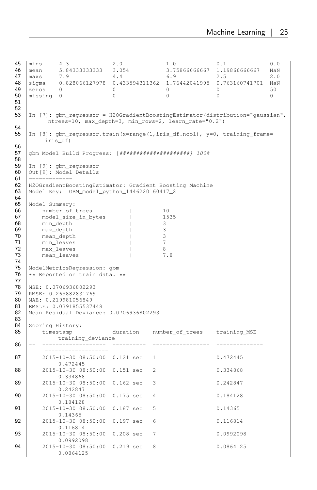```
45 mins 4.3 2.0 1.0 0.1 0.0
46 mean 5.84333333333 3.054 3.75866666667 1.19866666667 NaN
47 maxs 7.9 4.4 6.9 2.5 2.0
48 sigma 0.828066127978 0.433594311362 1.76442041995 0.763160741701 NaN
   \vert zeros 0 0 0 0 0 50
50 missing 0 0 0 0 0
51
52
53 | In [7]: gbm regressor = H2OGradientBoostingEstimator(distribution="gaussian",
       ntrees=10, max_depth=3, min_rows=2, learn_rate="0.2")
54
   In [8]: gbm_regressor.train(x=range(1,iris_df.ncol), y=0, training_frame=
       iris_df)
56
   57 gbm Model Build Progress: [#####################] 100%
58
59 In [9]: gbm_regressor<br>60 Out [9]: Model Details
   Out[9]: Model Details
61 =============
62 H2OGradientBoostingEstimator: Gradient Boosting Machine<br>63 Model Kev: GBM model python 1446220160417 2
   63 Model Key: GBM_model_python_1446220160417_2
64<br>65
65 Model Summary:<br>66 number of
66 number_of_trees | 10
67 model_size_in_bytes | 1535
68 min_depth 1 3
69 max_depth \begin{array}{ccc} 70 & \text{mean\_depth} \\ -3 & \text{mean\_depth} \\ \end{array}70 mean_depth | 3
71 min_leaves and the minutes of \vertT2 max_leaves | 8<br>T3 mean_leaves | 7.8
      mean_leaves | 7.88
74
75 | ModelMetricsRegression: gbm<br>76 | ** Reported on train data.
   ** Reported on train data. **
77
78 MSE: 0.0706936802293<br>79 RMSE: 0.265882831769
   RMSE: 0.265882831769
80 MAE: 0.219981056849<br>81 RMSLE: 0.0391855537
81 RMSLE: 0.0391855537448<br>82 Mean Residual Deviance:
   82 Mean Residual Deviance: 0.0706936802293
83
83<br>84 Scoring History:<br>85 timestamp
     timestamp duration number_of_trees training_MSE
           training_deviance
86 -- ------------------- ---------- ----------------- --------------
       -------------------
87 2015-10-30 08:50:00 0.121 sec 1 0.472445
           0.472445
88 2015-10-30 08:50:00 0.151 sec 2 0.334868
           0.334868
89 2015-10-30 08:50:00 0.162 sec 3 0.242847
           0.242847
90 2015-10-30 08:50:00 0.175 sec 4 0.184128
           0.184128
91 2015-10-30 08:50:00 0.187 sec 5 0.14365
           0.14365
92 2015-10-30 08:50:00 0.197 sec 6 0.116814
           0.116814
93 2015-10-30 08:50:00 0.208 sec 7 0.0992098
           0.0992098
94 2015-10-30 08:50:00 0.219 sec 8 0.0864125
           0.0864125
```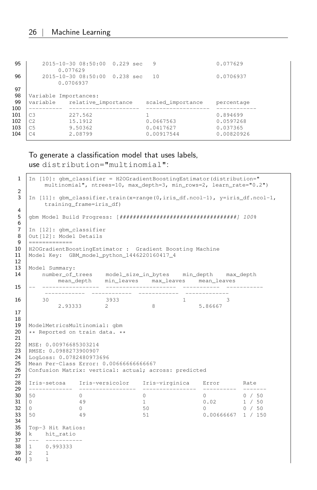```
95 2015-10-30 08:50:00 0.229 sec 9 0.077629
            0.077629
96 2015-10-30 08:50:00 0.238 sec 10 0.0706937
             0.0706937
97
98 Variable Importances:
99 variable relative_importance scaled_importance percentage
    100 ---------- --------------------- ------------------- ------------
\begin{array}{ccccccccc} 101 & \text{c3} & & 227.562 & & 1 & & 0.894699 \\ 102 & \text{c2} & & 15.1912 & & & 0.0667563 & & & 0.0597268 \end{array}15.1912 0.0667563<br>9.50362 0.0417627
103 C5 9.50362 0.0417627 0.037365
104 C4 2.08799 0.00917544 0.00820926
```
To generate a classification model that uses labels,

use distribution="multinomial":

```
1 \mid In [10]: qbm_{\text{classifier}} = H20GradientBoostingEstimator (distribution="multinomial", ntrees=10, max_depth=3, min_rows=2, learn_rate="0.2")
 2
 3 | In [11]: gbm classifier.train(x=range(0,iris df.ncol-1), y=iris df.ncol-1,
           training_frame=iris_df)
 4
 5 gbm Model Build Progress: [###################################] 100%
 6
 7 In [12]: gbm_classifier<br>8 Out [12]: Model Details
 \begin{array}{c|c} 8 & \text{Out} \{12\} : \text{Model Details} \\ \hline \end{array}\qquad \qquad \qquad 222222222222410 H2OGradientBoostingEstimator : Gradient Boosting Machine<br>11 Model Kev: GBM model python 1446220160417 4
     11 Model Key: GBM_model_python_1446220160417_4
12
13 Model Summary:<br>14 number of t
14 number_of_trees model_size_in_bytes min_depth max_depth
mean_depth min_leaves max_leaves mean_leaves
15 -- ----------------- --------------------- ----------- -----------
          ------------ ------------ ------------ -------------
16 30 3933 1 3<br>2.93333 2 8 5.86667
                  2.93333
17
18
     19 ModelMetricsMultinomial: gbm
20 ** Reported on train data. **
\frac{21}{22}MSE: 0.00976685303214
23 RMSE: 0.0988273900907<br>24 LogLoss: 0.0782480973
24 | LogLoss: 0.0782480973696<br>25 | Mean Per-Class Error: 0.
     Mean Per-Class Error: 0.00666666666667
26 | Confusion Matrix: vertical: actual; across: predicted
27
28 Iris-setosa Iris-versicolor Iris-virginica Error Rate
29 ------------- ----------------- ---------------- ---------- -------
30 50 0 0 0 0 / 50
31 0 49 1 0.02 1 / 50
32 0 0 50 0 0 / 50
33 50 49 51 0.00666667 1 / 150
34
35 Top-3 Hit Ratios:
\begin{array}{c|c}\n36 \\
37\n\end{array} k hit_ratio
\begin{array}{|c|c|c|c|c|}\n \hline\n 37 & \multicolumn{1}{|c|}{-} & \multicolumn{1}{|c|}{-} & \multicolumn{1}{|c|}{-} & \multicolumn{1}{|c|}{-} & \multicolumn{1}{|c|}{-} & \multicolumn{1}{|c|}{-} & \multicolumn{1}{|c|}{-} & \multicolumn{1}{|c|}{-} & \multicolumn{1}{|c|}{-} & \multicolumn{1}{|c|}{-} & \multicolumn{1}{|c|}{-} & \multicolumn{1}{|c|}{-} & \multicolumn{1}{|c|}{-} & \multicolumn{1}{|c|}{-38 \begin{vmatrix} 1 & 0.993333 \\ 2 & 1 \end{vmatrix}40 3 1
```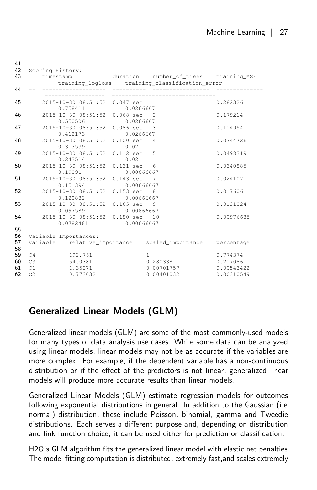|          | timestamp duration number_of_trees training_MSE            |          | training_logloss training_classification_error   |            |
|----------|------------------------------------------------------------|----------|--------------------------------------------------|------------|
|          |                                                            |          |                                                  |            |
|          | 2015-10-30 08:51:52 0.047 sec 1<br>0.758411 0.0266667      |          |                                                  | 0.282326   |
|          | 2015-10-30 08:51:52 0.068 sec 2<br>0.550506 0.0266667      |          |                                                  | 0.179214   |
|          | 2015-10-30 08:51:52 0.086 sec 3<br>0.412173 0.0266667      |          |                                                  | 0.114954   |
|          | 2015-10-30 08:51:52 0.100 sec 4<br>$0.313539$ $0.02$       |          |                                                  | 0.0744726  |
|          | 2015-10-30 08:51:52 0.112 sec 5<br>$0.243514$ 0.02         |          |                                                  | 0.0498319  |
|          | 2015-10-30 08:51:52 0.131 sec 6<br>0.19091 0.00666667      |          |                                                  | 0.0340885  |
|          | 2015-10-30 08:51:52 0.143 sec 7<br>0.151394 0.00666667     |          |                                                  | 0.0241071  |
|          | 2015-10-30 08:51:52 0.153 sec 8<br>$0.120882$ $0.00666667$ |          |                                                  | 0.017606   |
|          | 2015-10-30 08:51:52 0.165 sec 9<br>0.0975897 0.00666667    |          |                                                  | 0.0131024  |
|          | 2015-10-30 08:51:52 0.180 sec 10<br>0.0782481 0.00666667   |          |                                                  | 0.00976685 |
|          | Variable Importances:                                      |          |                                                  |            |
|          |                                                            |          |                                                  |            |
|          | C4 192.761<br>C3 54.0381                                   | $\sim$ 1 | 0.280338 0.217086                                | 0.774374   |
| C1<br>C2 | 1.35271<br>0.773032                                        |          | 0.00701757 0.00543422<br>$0.00401032$ 0.00310549 |            |

#### <span id="page-26-0"></span>Generalized Linear Models (GLM)

Generalized linear models (GLM) are some of the most commonly-used models for many types of data analysis use cases. While some data can be analyzed using linear models, linear models may not be as accurate if the variables are more complex. For example, if the dependent variable has a non-continuous distribution or if the effect of the predictors is not linear, generalized linear models will produce more accurate results than linear models.

Generalized Linear Models (GLM) estimate regression models for outcomes following exponential distributions in general. In addition to the Gaussian (i.e. normal) distribution, these include Poisson, binomial, gamma and Tweedie distributions. Each serves a different purpose and, depending on distribution and link function choice, it can be used either for prediction or classification.

H2O's GLM algorithm fits the generalized linear model with elastic net penalties. The model fitting computation is distributed, extremely fast,and scales extremely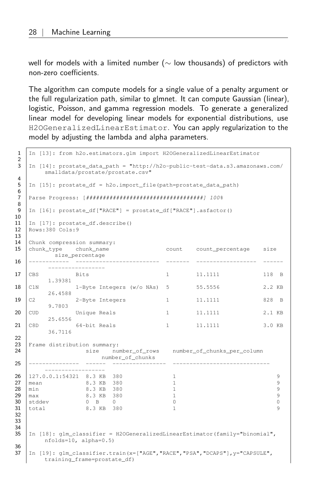well for models with a limited number (∼ low thousands) of predictors with non-zero coefficients.

The algorithm can compute models for a single value of a penalty argument or the full regularization path, similar to glmnet. It can compute Gaussian (linear), logistic, Poisson, and gamma regression models. To generate a generalized linear model for developing linear models for exponential distributions, use H2OGeneralizedLinearEstimator. You can apply regularization to the model by adjusting the lambda and alpha parameters.

```
1 In [13]: from h2o.estimators.glm import H2OGeneralizedLinearEstimator
 \mathfrak{D}3 In [14]: prostate_data_path = "http://h2o-public-test-data.s3.amazonaws.com/
       smalldata/prostate/prostate.csv"
\frac{4}{5}\boxed{\text{In [15]:} prostate_df = h2o.import_file(path=prostate_data_path)
6
7 Parse Progress: [###################################] 100%
8
9 | In [16]: prostate_df["RACE"] = prostate_df["RACE"].asfactor()
10
11 | In [17]: prostate_df.describe()
12 Rows:380 Cols:9
13
14 Chunk compression summary:
15 chunk_type chunk_name count count_percentage size
         size_percentage
16 ------------ ------------------------- ------- ------------------ ------
        -----------------
17 CBS Bits 1 11.1111 118 B
       1.39381
18 C1N 1-Byte Integers (w/o NAs) 5 55.5556 2.2 KB
       26.4588
19 C2 2-Byte Integers 1 11.1111 828 B
       9.7803
20 CUD Unique Reals 1 11.1111 2.1 KB
       25.6556
21 C8D 64-bit Reals 1 11.1111 3.0 KB
       36.7116
\begin{array}{c} 22 \\ 23 \end{array}Frame distribution summary:
24 size number of rows number of chunks per column
                    number_of_chunks
25 --------------- ------ ---------------- -----------------------------
       ------------------
26 | 127.0.0.1:54321 8.3 KB 380 1 9
27 mean 8.3 KB 380 1 9
28 min 8.3 KB 380 1<br>29 max 8.3 KB 380 1 9 9
   max 8.3 KB 380 1
30 stddev 0 B 0 0 0
   total 8.3 KB 380 1
32
33
34
35 | In [18]: glm classifier = H2OGeneralizedLinearEstimator(family="binomial",
       nfolds=10, alpha=0.5)
36
37 In [19]: glm_classifier.train(x=["AGE","RACE","PSA","DCAPS"], y="CAPSULE",
       training_frame=prostate_df)
```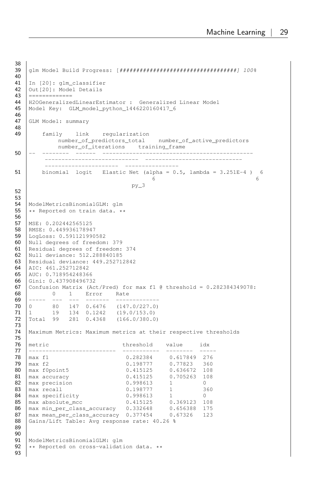```
38
    39 glm Model Build Progress: [###################################] 100%
40
41 In [20]: glm_classifier<br>42 Out [20]: Model Details
   42 Out[20]: Model Details
43 =============
44 | H2OGeneralizedLinearEstimator : Generalized Linear Model<br>45 | Model Key: GIM model python 1446220160417 6
    45 Model Key: GLM_model_python_1446220160417_6
46<br>47
    GLM Model: summary
48
49 family link regularization
              number_of_predictors_total number_of_active_predictors
              number_of_iterations training_frame
50 -- -------- ------ ---------------------------------------------
           ---------------------------- -----------------------------
          ---------------------- ----------------
51 binomial logit Elastic Net (alpha = 0.5, lambda = 3.251E-4 ) 6
                                                 6 6
                                         py_3
52
53
    ModelMetricsBinomialGLM: glm
55 \star\star Reported on train data. \star\star56
57 MSE: 0.202442565125
58 RMSE: 0.449936178947
59 LogLoss: 0.591121990582<br>60 Null degrees of freedom
    Null degrees of freedom: 379
61 Residual degrees of freedom: 374<br>62 Null deviance: 512.288840185
62 Null deviance: 512.288840185<br>63 Residual deviance: 449.25271
    63 Residual deviance: 449.252712842
64 AIC: 461.252712842<br>65 AUC: 0.71895424836
    65 AUC: 0.718954248366
66 Gini: 0.437908496732
67 | Confusion Matrix (Act/Pred) for max f1 @ threshold = 0.282384349078:
68 0 1 Error Rate<br>69 ----- --- --- ------- -----
69 ----- --- --- ------- -------------
    0 80 147 0.6476 (147.0/227.0)<br>1 19 134 0.1242 (19.0/153.0)
71 \begin{vmatrix} 1 & 19 & 134 & 0.1242 & (19.0/153.0) \end{vmatrix}72 Total 99 281 0.4368 (166.0/380.0)
73
    | Maximum Metrics: Maximum metrics at their respective thresholds
75
    netric threshold value idx
77 -------------------------- ----------- -------- -----
78 max f1 0.282384 0.617849 276
79 max f2 0.198777 0.77823 360
80 max f0point5 0.415125 0.636672 108
81 max accuracy 0.415125 0.705263 108
82 \begin{array}{|l|l|l|l|l|} \hline \text{83} & \text{max precision} & \text{0.998613} & \text{1} & \text{0} \\ \hline \text{83} & \text{max recall} & \text{0.198777} & \text{1} & \text{360} \\ \hline \end{array}83 | max recall 0.198777<br>84 | max specificity 0.998613
    84 max specificity 0.998613 1 0
85 max absolute_mcc 0.415125 0.369123 108
86 max min_per_class_accuracy 0.332648 0.656388 175
87 max mean_per_class_accuracy 0.377454 0.67326 123
88 Gains/Lift Table: Avg response rate: 40.26 %
89
\frac{90}{91}91 | ModelMetricsBinomialGLM: glm<br>92 | ** Reported on cross-validat
    ** Reported on cross-validation data. **
93
```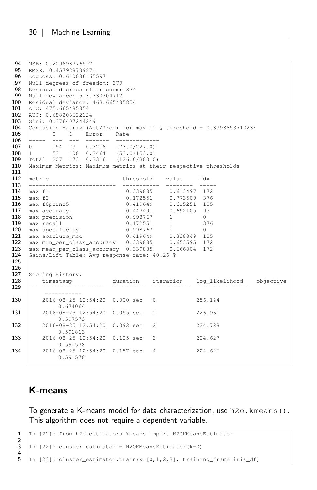```
94 | MSE: 0.209698776592<br>95 | RMSE: 0.45792878987
    RMSE: 0.457928789871
 96 LogLoss: 0.610086165597
97 Null degrees of freedom: 379
98 | Residual degrees of freedom: 374
99 Null deviance: 513.330704712<br>100 Residual deviance: 463.66548
100 Residual deviance: 463.665485854<br>101 AIC: 475.665485854
    AIC: 475.665485854
102 AUC: 0.688203622124<br>103 Gini: 0.37640724424
     Gini: 0.376407244249
104 Confusion Matrix (Act/Pred) for max f1 @ threshold = 0.339885371023:<br>105 0 1 Error Rate
105 0 1 Error Rate<br>106 ----- --- --- ------- -----
106 ----- --- --- ------- -------------<br>107 0 154 73 0.3216 (73.0/227.0)
108 1 53 100 0.3464 (53.0/153.0)
109 Total 207 173 0.3316 (126.0/380.0)
110 | Maximum Metrics: Maximum metrics at their respective thresholds
111
112 metric threshold value idx
113 -------------------------- ----------- -------- -----
                                 0.339885 0.613497 172
115 max f2 0.172551 0.773509 376
116 max f0point5 0.419649 0.615251 105
117 | max accuracy 0.447491 0.692105 93
118 | max precision 0.998767 1 0
119 | max recall 0.172551 1 376
120 max specificity 0.998767 1 0<br>121 max absolute_mcc 0.419649 0.338849 105
121 \vert max absolute_mcc<br>122 \vert max min per class
122 max min_per_class_accuracy 0.339885 0.653595 172
123 max mean_per_class_accuracy 0.339885 0.666004 172
124 Gains/Lift Table: Avg response rate: 40.26 %
125
126<br>127
     Scoring History:
128 timestamp duration iteration log_likelihood objective
129 -- ------------------- ---------- ----------- ----------------
          -----------
130 2016-08-25 12:54:20 0.000 sec 0 256.144
            0.674064
131 2016-08-25 12:54:20 0.055 sec 1 226.961
            0.597573
132 2016-08-25 12:54:20 0.092 sec 2 224.728
            0.591813
133 2016-08-25 12:54:20 0.125 sec 3 224.627
             0.591578
134 2016-08-25 12:54:20 0.157 sec 4 224.626
             0.591578
```
#### <span id="page-29-0"></span>K-means

To generate a K-means model for data characterization, use h2o.kmeans(). This algorithm does not require a dependent variable.

```
1 In [21]: from h2o.estimators.kmeans import H2OKMeansEstimator
\frac{2}{3}\ln [22]: cluster_estimator = H2OKMeansEstimator(k=3)
\frac{4}{5}In [23]: cluster_estimator.train(x=[0,1,2,3], training_frame=iris_df)
```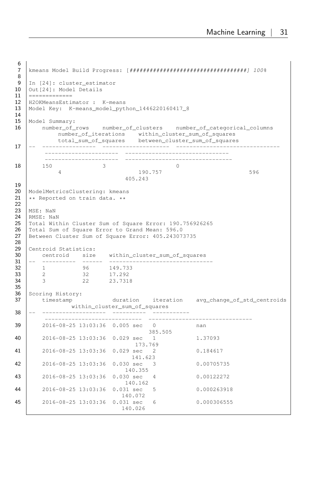```
6<br>7
   7 kmeans Model Build Progress: [###################################] 100%
 8
9 \begin{bmatrix} \text{In} & [24] \\ \text{Out} & [24] \end{bmatrix}: Model Details
   10 Out[24]: Model Details
11 =============
12 H2OKMeansEstimator : K-means
   13 Model Key: K-means_model_python_1446220160417_8
\begin{array}{c} 14 \\ 15 \end{array}Model Summary:
16 number_of_rows number_of_clusters number_of_categorical_columns
             number_of_iterations within_cluster_sum_of_squares
total_sum_of_squares between_cluster_sum_of_squares
17 -- ---------------- -------------------- -------------------------------
         ---------------------- -------------------------------
         ---------------------- --------------------------------
18 150 3 0
            4 190.757 596
                                 405.243
\frac{19}{20}ModelMetricsClustering: kmeans
21 ** Reported on train data. **
\frac{22}{23}MSE: NaN
24 RMSE: NaN<br>25 Total With
   25 Total Within Cluster Sum of Square Error: 190.756926265
26 Total Sum of Square Error to Grand Mean: 596.0<br>27 Between Cluster Sum of Square Error: 405.243073
   Between Cluster Sum of Square Error: 405.243073735
28
29 Centroid Statistics:<br>30 centroid size
30 centroid size within_cluster_sum_of_squares
       31 -- ---------- ------ -------------------------------
32 1 96 149.733
33 2 32 17.292
34 3 22 23.7318
35
36 Scoring History:
37 | timestamp duration iteration avg_change_of_std_centroids
              within_cluster_sum_of_squares
38 -- ------------------- ----------
                                        ----------------------------- -------------------------------
39 2016-08-25 13:03:36 0.005 sec 0 nan
                                        385.505
40 2016-08-25 13:03:36 0.029 sec 1 1.37093
                                    173.769
41 2016-08-25 13:03:36 0.029 sec 2 0.184617
                                  141.623
42 2016-08-25 13:03:36 0.030 sec 3 0.00705735
                                 140.355
43 2016-08-25 13:03:36 0.030 sec 4 0.00122272
                                 140.162
44 2016-08-25 13:03:36 0.031 sec 5 0.000263918
                                140.072
45 2016-08-25 13:03:36 0.031 sec 6 0.000306555
                              140.026
```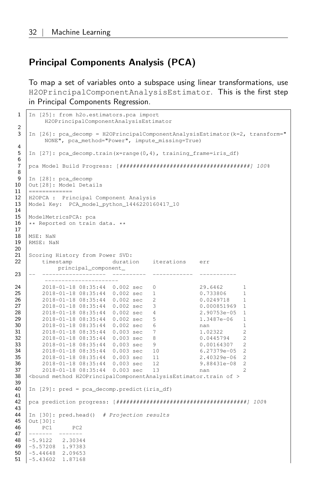#### Principal Components Analysis (PCA)

To map a set of variables onto a subspace using linear transformations, use H2OPrincipalComponentAnalysisEstimator. This is the first step in Principal Components Regression.

```
1 | In [25]: from h2o.estimators.pca import
          H2OPrincipalComponentAnalysisEstimator
 \frac{2}{3}In [26]: pca_decomp = H2OPrincipalComponentAnalysisEstimator(k=2, transform="
          NONE", pca_method="Power", impute_missing=True)
 4
 5 In [27]: pca_decomp.train(x=range(0,4), training_frame=iris_df)
 6
 7 pca Model Build Progress: [#######################################] 100%
 8
\begin{array}{|c|c|c|c|c|}\n 9 & \text{In} & \text{[28]: pca\_decomp} \\
 \hline\n 10 & \text{Out} & \text{[28]: Model Beta} \\
 \end{array}10 Out[28]: Model Details
11 ==============
12 H2OPCA : Principal Component Analysis
13 Model Key: PCA_model_python_1446220160417_10
14
15 ModelMetricsPCA: pca
16 | ** Reported on train data. **
\begin{array}{c} 17 \\ 18 \end{array}18 MSE: NaN<br>19 RMSE: Na
    RMSE: NaN
\frac{20}{21}Scoring History from Power SVD:
22 timestamp duration iterations err
            principal_component_
23 -- ------------------- ---------- ------------ -----------
24 2018-01-18 08:35:44 0.002 sec 0 29.6462 1
25 2018-01-18 08:35:44 0.002 sec 1 0.733806 1<br>26 2018-01-18 08:35:44 0.002 sec 2 0.0249718 1
26 2018-01-18 08:35:44 0.002 sec 2 0.0249718 1
        2018-01-18 08:35:44 0.002 sec 3
28 2018-01-18 08:35:44 0.002 sec 4 2.90753e-05 1
\begin{array}{c|cccccc}\n\textbf{29} & & 2018-01-18 & 08:35:44 & 0.002 & \text{sec} & 5 & 1.3487\text{e}-06 & 1 \\
\textbf{30} & & 2018-01-18 & 08:35:44 & 0.002 & \text{sec} & 6 & \text{nan} & 1\n\end{array}30 2018-01-18 08:35:44 0.002 sec 6 nan 1
31 2018-01-18 08:35:44 0.003 sec 7 1.02322<br>32 2018-01-18 08:35:44 0.003 sec 8 0.0445794
32 2018-01-18 08:35:44 0.003 sec 8 0.0445794 2
        33 2018-01-18 08:35:44 0.003 sec 9 0.00164307 2
34 2018-01-18 08:35:44 0.003 sec 10 6.27379e-05 2
         35 2018-01-18 08:35:44 0.003 sec 11 2.40329e-06 2
36 2018-01-18 08:35:44 0.003 sec 12 9.88431e-08 2
37 2018-01-18 08:35:44 0.003 sec 13 nan 2<br>38 <br/>Sound method H2OPrincipalComponentAnalysisEstimator.train of >
   38 <bound method H2OPrincipalComponentAnalysisEstimator.train of >
39
    40 In [29]: pred = pca_decomp.predict(iris_df)
41
42 pca prediction progress: [#######################################] 100%
43
44 | In [30]: pred.head() # Projection results
45 | Out [30]:
46 PC1 PC2
47 -------
48 -5.9122 2.30344
49 -5.57208 1.97383
50 -5.44648 2.09653
51 -5.43602 1.87168
```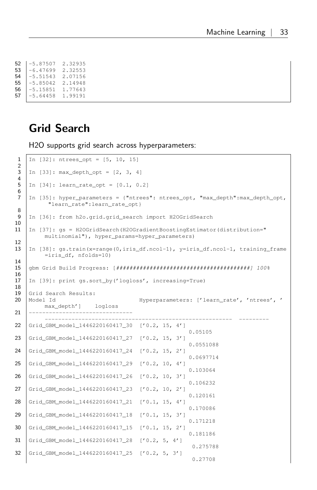| 52 | $-5.87507$ | 2.32935 |
|----|------------|---------|
| 53 | $-6.47699$ | 2.32553 |
| 54 | $-5.51543$ | 2.07156 |
| 55 | $-5.85042$ | 2.14948 |
| 56 | $-5.15851$ | 1.77643 |
| 57 | $-5.64458$ | 1.99191 |

#### <span id="page-32-0"></span>Grid Search

H2O supports grid search across hyperparameters:

```
1 | In [32]: ntrees_opt = [5, 10, 15]\frac{2}{3}In [33]: max_depth_opt = [2, 3, 4]\frac{4}{5}In [34]: learn_rate_opt = [0.1, 0.2]6
 7 In [35]: hyper parameters = {"ntrees": ntrees opt, "max depth":max depth opt,
          "learn_rate":learn_rate_opt}
8
9 | In [36]: from h2o.grid.grid_search import H2OGridSearch
10
11 In [37]: gs = H2OGridSearch(H2OGradientBoostingEstimator(distribution="
        multinomial"), hyper_params=hyper_parameters)
12
13 | In [38]: qs.train(x=range(0,iris df.ncol-1), y=iris df.ncol-1, training frame
        =iris_df, nfolds=10)
14
15 gbm Grid Build Progress: [########################################] 100%
16
17 | In [39]: print gs.sort by('logloss', increasing=True)
18
19 Grid Search Results:
20 Model Id Hyperparameters: ['learn_rate', 'ntrees', '
        max_depth'] logloss
21 -------------------------------
         -------------------------------------------------------- ---------
22 Grid_GBM_model_1446220160417_30 ['0.2, 15, 4']
                                                    0.05105
23 Grid_GBM_model_1446220160417_27 ['0.2, 15, 3']
                                                   0.0551088
24 Grid_GBM_model_1446220160417_24 ['0.2, 15, 2']
                                                   0.0697714
25 Grid_GBM_model_1446220160417_29 ['0.2, 10, 4']
                                                    0.103064
26 Grid_GBM_model_1446220160417_26 ['0.2, 10, 3']
                                                    0.106232
27 Grid_GBM_model_1446220160417_23 ['0.2, 10, 2']
                                                   0.120161
28 Grid_GBM_model_1446220160417_21 ['0.1, 15, 4']
                                                   0.170086
29 Grid_GBM_model_1446220160417_18 ['0.1, 15, 3']
                                                    0.171218
30 Grid_GBM_model_1446220160417_15 ['0.1, 15, 2']
                                                   0.181186
31 Grid_GBM_model_1446220160417_28 ['0.2, 5, 4']
                                                    0.275788
32 Grid_GBM_model_1446220160417_25 ['0.2, 5, 3']
                                                    0.27708
```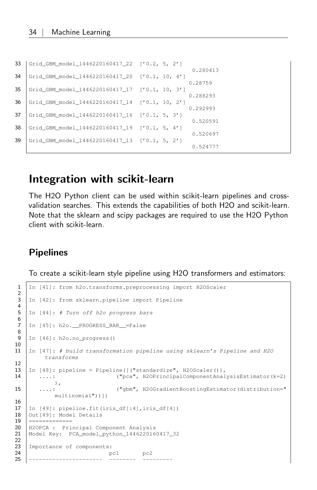| 33 | Grid GBM model 1446220160417 22 ['0.2, 5, 2']  |                     |
|----|------------------------------------------------|---------------------|
| 34 | Grid GBM model 1446220160417 20 ['0.1, 10, 4'] | 0.280413            |
| 35 | Grid GBM model 1446220160417 17 ['0.1, 10, 3'] | 0.28759<br>0.288293 |
| 36 | Grid GBM model 1446220160417 14 ['0.1, 10, 2'] | 0.292993            |
| 37 | Grid GBM model 1446220160417 16 ['0.1, 5, 3']  | 0.520591            |
| 38 | Grid GBM model 1446220160417 19 ['0.1, 5, 4']  | 0.520697            |
| 39 | Grid_GBM_model_1446220160417_13 ['0.1, 5, 2']  | 0.524777            |
|    |                                                |                     |

#### <span id="page-33-0"></span>Integration with scikit-learn

The H2O Python client can be used within scikit-learn pipelines and crossvalidation searches. This extends the capabilities of both H2O and scikit-learn. Note that the sklearn and scipy packages are required to use the H2O Python client with scikit-learn.

#### <span id="page-33-1"></span>Pipelines

To create a scikit-learn style pipeline using H2O transformers and estimators:

```
1 | In [41]: from h2o.transforms.preprocessing import H2OScaler
   In [42]: from sklearn.pipeline import Pipeline
5 In [44]: # Turn off h2o progress bars
   In [45]: h2o.__PROGRESS_BAR__=False
    In [46]: h2o.no_progress()
11 In [47]: # build transformation pipeline using sklearn's Pipeline and H2O
         transforms
13 | In [48]: pipeline = Pipeline([("standardize", H2OScaler())14 ....: ("pca", H2OPrincipalComponentAnalysisEstimator(k=2)
           ),
15 ....: ("gbm", H2OGradientBoostingEstimator(distribution="
            multinomial"))])
    17 In [49]: pipeline.fit(iris_df[:4],iris_df[4])
18 | Out[49]: Model Details
19 ==============<br>20 H2OPCA : Pri
20 | H2OPCA : Principal Component Analysis<br>21 | Model Key: PCA_model_python_144622016
    Model Key: PCA model python 1446220160417_32
   Importance of components:
24 pc1 pc2<br>25 ----------------------- -------- ---
25 ---------------------- -------- ---------
```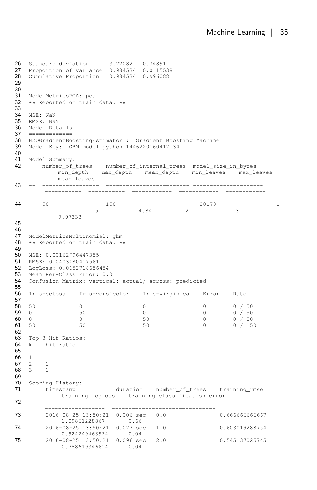```
26 Standard deviation 3.22082 0.34891<br>27 Proportion of Variance 0.984534 0.01155
   Proportion of Variance 0.984534 0.0115538
28 Cumulative Proportion 0.984534 0.996088
29
\frac{30}{31}31 ModelMetricsPCA: pca<br>32 ** Reported on train
   ** Reported on train data. **
33
34 | MSE: NaN<br>35 | RMSE: NaN
    RMSE: NaN
36 Model Details<br>37 ==============
37 ==============<br>38 H2OGradientBo
38 H2OGradientBoostingEstimator : Gradient Boosting Machine<br>39 Model Kev: GBM model python 1446220160417 34
    Model Key: GBM model python 1446220160417_34
40
41 Model Summary:
42 number of trees number of internal trees model size in bytes
            min_depth max_depth mean_depth min_leaves max_leaves
mean_leaves<br>43 -- -----------------
                              43 -- ----------------- ------------------------- ---------------------
         ----------- ----------- ------------ ------------ ------------
          -------------
44 50 150 28170 1<br>5 4.84 2 13
          9.97333
45
46<br>47
47 | ModelMetricsMultinomial: gbm<br>48 | ** Reported on train data. *
   ** Reported on train data. **
49<br>50
50 MSE: 0.00162796447355<br>51 RMSE: 0.0403480417561
   51 RMSE: 0.0403480417561
52 LogLoss: 0.0152718656454<br>53 Mean Per-Class Error: 0.
    Mean Per-Class Error: 0.0
54 Confusion Matrix: vertical: actual; across: predicted
55
    56 Iris-setosa Iris-versicolor Iris-virginica Error Rate
57 ------------- ----------------- ---------------- ------- -------
58 50 0 0 0 0 / 50
59 0 50 0 0 0 / 50
60 0 0 0 0 0 50 0 0 0 0 0 1 50
61 50 50 50 50 0 0 150
62<br>63
63 Top-3 Hit Ratios:<br>64 k hit ratio
64 k hit_ratio<br>65 --- ----------
65 --- -----------
\begin{array}{c|cc}\n 66 & 1 & 1 \\
 67 & 2 & 1\n \end{array}\begin{array}{ccc} 2 & & 1 \\ 3 & & 1 \end{array}68 3
69<br>70
70 Scoring History:
71 timestamp duration number_of_trees training_rmse
             training_logloss training_classification_error
72 --- ------------------- ---------- ----------------- ----------------
                                 ------------------ -------------------------------
73 2016-08-25 13:50:21 0.006 sec 0.0 0.6666666666667
1.09861228867 0.66
74 2016-08-25 13:50:21 0.077 sec 1.0 0.603019288754
0.924249463924 0.04
75 2016-08-25 13:50:21 0.096 sec 2.0 0.545137025745
              0.788619346614 0.04
```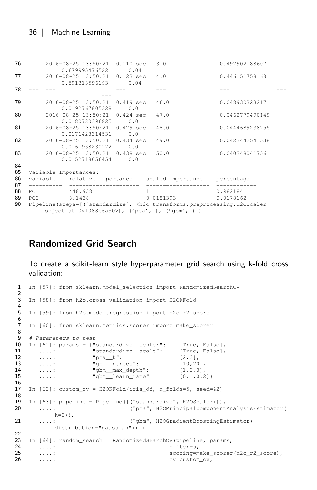| 76       | 2016-08-25 13:50:21 0.110 sec                    | 0.679995476522 0.04 | 3.0            | 0.492902188607                                                                                                                     |  |
|----------|--------------------------------------------------|---------------------|----------------|------------------------------------------------------------------------------------------------------------------------------------|--|
| 77       | 2016-08-25 13:50:21 0.123 sec                    | 0.591313596193 0.04 | 4.0            | 0.446151758168                                                                                                                     |  |
| 78       |                                                  |                     |                |                                                                                                                                    |  |
| 79       | 2016-08-25 13:50:21 0.419 sec<br>0.0192767805328 | 0.0                 | 46.0           | 0.0489303232171                                                                                                                    |  |
| 80       | 2016-08-25 13:50:21 0.424 sec                    | 0.0180720396825 0.0 | 47.0           | 0.0462779490149                                                                                                                    |  |
| 81       | 2016-08-25 13:50:21 0.429 sec<br>0.0171428314531 | 0.0                 | 48.0           | 0.0444689238255                                                                                                                    |  |
| 82       | 2016-08-25 13:50:21 0.434 sec                    | 0.0161938230172 0.0 | 49.0           | 0.0423442541538                                                                                                                    |  |
| 83       | 2016-08-25 13:50:21 0.438 sec<br>0.0152718656454 | 0.0                 | 50.0           | 0.0403480417561                                                                                                                    |  |
| 84<br>85 | Variable Importances:                            |                     |                |                                                                                                                                    |  |
| 86<br>87 | variable relative_importance                     |                     |                | scaled_importance percentage                                                                                                       |  |
| 88<br>89 | 448.958<br>PC1<br>PC2 8.1438                     |                     | 1<br>0.0181393 | 0.982184<br>0.0178162                                                                                                              |  |
| 90       | object at 0x1088c6a50>), ('pca', ), ('gbm', )])  |                     |                | Pipeline(steps=[('standardize', <h2o.transforms.preprocessing.h2oscaler< th=""><th></th></h2o.transforms.preprocessing.h2oscaler<> |  |

#### <span id="page-35-0"></span>Randomized Grid Search

To create a scikit-learn style hyperparameter grid search using k-fold cross validation:

```
1 In [57]: from sklearn.model_selection import RandomizedSearchCV
 \frac{2}{3}In [58]: from h2o.cross validation import H2OKFold
 4
 5 In [59]: from h2o.model.regression import h2o_r2_score
 6<br>7
    In [60]: from sklearn.metrics.scorer import make_scorer
 8
9 | # Parameters to test<br>10 | In [61]: params = {"
   10 In [61]: params = {"standardize__center": [True, False],
11 \begin{bmatrix} \ldots : \ldots : \ldots : \ldots \end{bmatrix} "standardize_scale": [True, False], \begin{bmatrix} 12 & 0.11 \\ 0.11 & 0.11 \\ 0.11 & 0.11 \end{bmatrix}\begin{array}{c|c} 12 & \ldots: & \text{"pca\_k":} \\ 13 & \ldots: & \text{``qbm entries":} \\ \end{array}....: "gbm__ntrees": [10,20],
14 ....: "gbm_max_depth": [1,2,3],<br>15 ....: "gbm_learn_rate": [0.1,0.2
        1...: "gbm_learn_rate": [0.1,0.2]}
\frac{16}{17}17 In [62]: custom_cv = H2OKFold(iris_df, n_folds=5, seed=42)
18
19 | In [63]: pipeline = Pipeline([("standardize", H2OScaler()),<br>20 ....: ("pca", H2OPrincipalComponent")
       20 ....: ("pca", H2OPrincipalComponentAnalysisEstimator(
             k=2)),
21 ....: ("gbm", H2OGradientBoostingEstimator(
             distribution="gaussian"))])
\frac{22}{23}23 In [64]: random_search = RandomizedSearchCV(pipeline, params, 24 ...:
        \ldots: n_iter=5,
25 \ldots: scoring=make_scorer(h2o_r2_score),<br>26 \ldots: cv=custom cv,
        \ldots: cv=custom_cv,
```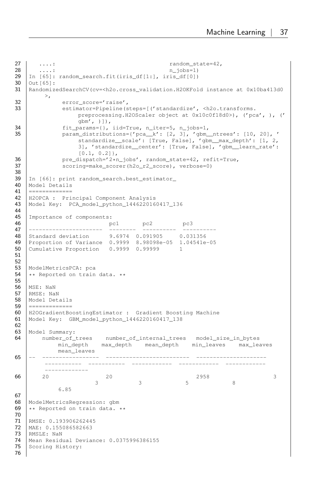```
27 ....: random_state=42,<br>28 ....: n iobs=1)
        \ldots: n_jobs=1)
29 \begin{bmatrix} \text{In} & [65] \text{ :} & \text{random\_search.fit} & \text{if} & \text{diff}[1!] \\ \text{Out} & [65] \text{ :} & \text{Out} & [65] \text{ :} \end{bmatrix}30 Out[65]:<br>31 Randomiz
   31 RandomizedSearchCV(cv=<h2o.cross_validation.H2OKFold instance at 0x10ba413d0
        >,
32 error_score='raise',<br>33 estimator=Pineline(s)
                estimator=Pipeline(steps=[('standardize', <h2o.transforms.
                    preprocessing.H2OScaler object at 0x10c0f18d0>), ('pca', ), ('
                     gbm', )]),
34 fit_params={}, iid=True, n_iter=5, n_jobs=1,<br>35 param distributions={'pca k': [2, 3], 'gbm
                param\_distributions={'pca_k': [2, 3], 'gbm_ntrees': [10, 20], '}standardize__scale': [True, False], 'gbm__max_depth': [1, 2,
3], 'standardize__center': [True, False], 'gbm__learn_rate':
                     [0.1, 0.2],
36 pre_dispatch='2*n_jobs', random_state=42, refit=True,<br>37 scoring=make scorer(h2o r2 score), verbose=0)
                scoring=make_scorer(h2o_r2_score), verbose=0)
38
39 In [66]: print random_search.best_estimator_<br>40 Model Details
40 Model Details<br>41 ==============
    41 =============
42 H2OPCA : Principal Component Analysis
   43 Model Key: PCA_model_python_1446220160417_136
44
45 Importance of components:
46 | pc1 pc2 pc3
47 ---------------------- -------- ---------- ----------
48 Standard deviation 9.6974 0.091905 0.031356
   49 Proportion of Variance 0.9999 8.98098e-05 1.04541e-05
50 Cumulative Proportion 0.9999 0.99999 1
51
52
53 ModelMetricsPCA: pca<br>54 ** Reported on train
    ** Reported on train data. **
55
56 MSE: NaN
57 RMSE: NaN
58 Model Details<br>59 ==============
59 ==============<br>60 H2OGradientBo
   H2OGradientBoostingEstimator : Gradient Boosting Machine
61 Model Key: GBM_model_python_1446220160417_138
62<br>63
   Model Summary:
64 number_of_trees number_of_internal_trees model_size_in_bytes
             min_depth max_depth mean_depth min_leaves max_leaves
             mean_leaves
65 -- ----------------- ------------------------- ---------------------
          ----------- ----------- ------------ ------------ ------------
          -------------
66 20 20 20 2958 3
                          3 3 5 8
             6.85
67
68 ModelMetricsRegression: gbm<br>69 ** Reported on train data.
    ** Reported on train data. **
70
71 RMSE: 0.193906262445<br>72 MAE: 0.155086582663
    MAE: 0.155086582663
73 RMSLE: NaN
74 Mean Residual Deviance: 0.0375996386155<br>75 Scoring History:
   Scoring History:
76
```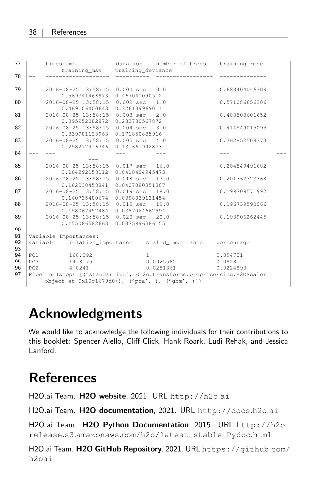| 77                         | timestamp                                                                                                                                                                                                                                                                                                       |                                   | duration number_of_trees training_rmse         |                       |  |
|----------------------------|-----------------------------------------------------------------------------------------------------------------------------------------------------------------------------------------------------------------------------------------------------------------------------------------------------------------|-----------------------------------|------------------------------------------------|-----------------------|--|
| 78                         | training_mse training_deviance<br>--------------- --------- ------                                                                                                                                                                                                                                              |                                   |                                                |                       |  |
| 79                         | 2016-08-25 13:58:15 0.000 sec 0.0<br>0.569341466973 0.467041090512                                                                                                                                                                                                                                              |                                   |                                                | 0.683404046309        |  |
| 80                         | 2016-08-25 13:58:15 0.002 sec 1.0<br>0.469106400643                                                                                                                                                                                                                                                             | 0.326139969011                    |                                                | 0.571086656306        |  |
| 81                         | 2016-08-25 13:58:15 0.003 sec 2.0<br>0.395952082872                                                                                                                                                                                                                                                             | 0.233780567872                    |                                                | 0.483508601652        |  |
| 82                         | 2016-08-25 13:58:15 0.004 sec 3.0<br>0.339981133963                                                                                                                                                                                                                                                             | 0.171850885916                    |                                                | 0.414549015095        |  |
| 83                         | 2016-08-25 13:58:15 0.005 sec 4.0<br>0.298212416346  0.131661942833                                                                                                                                                                                                                                             |                                   |                                                | 0.362852508373        |  |
| 84                         |                                                                                                                                                                                                                                                                                                                 |                                   |                                                |                       |  |
| 85                         | 2016-08-25 13:58:15<br>0.164292158112                                                                                                                                                                                                                                                                           | 0.017 sec 16.0<br>0.0418404945473 |                                                | 0.204549491682        |  |
| 86                         | 2016-08-25 13:58:15 0.018 sec 17.0<br>0.162030458841                                                                                                                                                                                                                                                            | 0.0407080351307                   |                                                | 0.201762323368        |  |
| 87                         | 2016-08-25 13:58:15 0.019 sec 18.0<br>0.160735480674 0.0398839131454                                                                                                                                                                                                                                            |                                   |                                                | 0.199709571992        |  |
| 88                         | 2016-08-25 13:58:15 0.019 sec 19.0<br>0.158067452484 0.0387064662994                                                                                                                                                                                                                                            |                                   |                                                | 0.196739590066        |  |
| 89                         | 2016-08-25 13:58:15 0.020 sec 20.0<br>0.155086582663 0.0375996386155                                                                                                                                                                                                                                            |                                   |                                                | 0.193906262445        |  |
| 90<br>91<br>92             | Variable Importances:<br>variable relative_importance scaled_importance percentage                                                                                                                                                                                                                              |                                   |                                                |                       |  |
| 93<br>94<br>95<br>96<br>97 | 160.092<br>PC1<br>14.8175<br>PC3<br>4.0241<br>PC <sub>2</sub><br>Pipeline(steps=[('standardize', <h2o.transforms.preprocessing.h2oscaler< th=""><th></th><th><math>\mathbf{1}</math><br/>0.0925562 0.08281<br/>0.0251361</th><th>0.894701<br/>0.0224893</th><th></th></h2o.transforms.preprocessing.h2oscaler<> |                                   | $\mathbf{1}$<br>0.0925562 0.08281<br>0.0251361 | 0.894701<br>0.0224893 |  |
|                            | object at 0x10c1679d0>), ('pca', ), ('qbm', )])                                                                                                                                                                                                                                                                 |                                   |                                                |                       |  |

## <span id="page-37-0"></span>Acknowledgments

We would like to acknowledge the following individuals for their contributions to this booklet: Spencer Aiello, Cliff Click, Hank Roark, Ludi Rehak, and Jessica Lanford.

# <span id="page-37-1"></span>References

H2O.ai Team. H2O website, 2021. URL [http://h2o](http://h2o.ai).ai

H2O.ai Team. H2O documentation, 2021. URL [http://docs](http://docs.h2o.ai).h2o.ai

H2O.ai Team. H2O Python Documentation, 2015. URL [http://h2o](http://h2o-release.s3.amazonaws.com/h2o/latest_stable_Pydoc.html)release.s3.amazonaws.[com/h2o/latest\\_stable\\_Pydoc](http://h2o-release.s3.amazonaws.com/h2o/latest_stable_Pydoc.html).html

H2O.ai Team. H2O GitHub Repository, 2021. URL [https://github](https://github.com/h2oai).com/ [h2oai](https://github.com/h2oai)